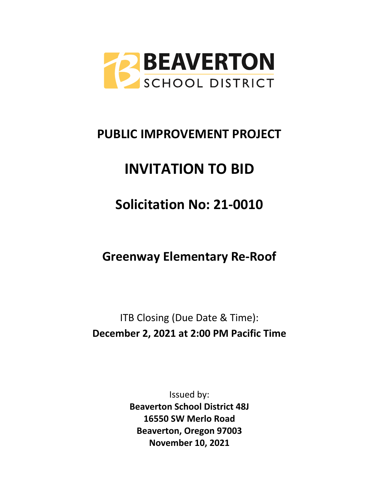

# **PUBLIC IMPROVEMENT PROJECT**

# **INVITATION TO BID**

# **Solicitation No: 21-0010**

# **Greenway Elementary Re-Roof**

ITB Closing (Due Date & Time): **December 2, 2021 at 2:00 PM Pacific Time**

> Issued by: **Beaverton School District 48J 16550 SW Merlo Road Beaverton, Oregon 97003 November 10, 2021**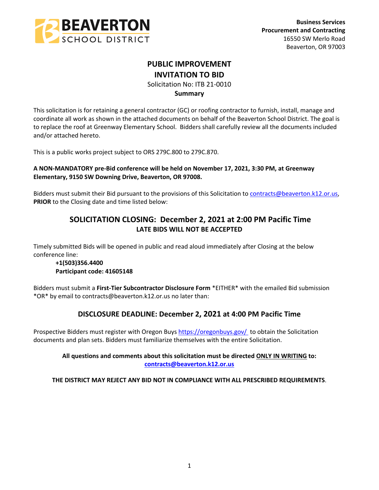

# **PUBLIC IMPROVEMENT INVITATION TO BID**

Solicitation No: ITB 21-0010

## **Summary**

This solicitation is for retaining a general contractor (GC) or roofing contractor to furnish, install, manage and coordinate all work as shown in the attached documents on behalf of the Beaverton School District. The goal is to replace the roof at Greenway Elementary School. Bidders shall carefully review all the documents included and/or attached hereto.

This is a public works project subject to ORS 279C.800 to 279C.870.

## **A NON-MANDATORY pre-Bid conference will be held on November 17, 2021, 3:30 PM, at Greenway Elementary, 9150 SW Downing Drive, Beaverton, OR 97008.**

Bidders must submit their Bid pursuant to the provisions of this Solicitation to [contracts@beaverton.k12.or.us,](mailto:contracts@beaverton.k12.or.us) **PRIOR** to the Closing date and time listed below:

## **SOLICITATION CLOSING: December 2, 2021 at 2:00 PM Pacific Time LATE BIDS WILL NOT BE ACCEPTED**

Timely submitted Bids will be opened in public and read aloud immediately after Closing at the below conference line:

#### **+1(503)356.4400 Participant code: 41605148**

Bidders must submit a **First-Tier Subcontractor Disclosure Form** \*EITHER\* with the emailed Bid submission \*OR\* by email to contracts@beaverton.k12.or.us no later than:

## **DISCLOSURE DEADLINE: December 2, 2021 at 4:00 PM Pacific Time**

Prospective Bidders must register with Oregon Buys<https://oregonbuys.gov/> to obtain the Solicitation documents and plan sets. Bidders must familiarize themselves with the entire Solicitation.

## **All questions and comments about this solicitation must be directed ONLY IN WRITING to: [contracts@beaverton.k12.or.us](mailto:contracts@beaverton.k12.or.us)**

**THE DISTRICT MAY REJECT ANY BID NOT IN COMPLIANCE WITH ALL PRESCRIBED REQUIREMENTS**.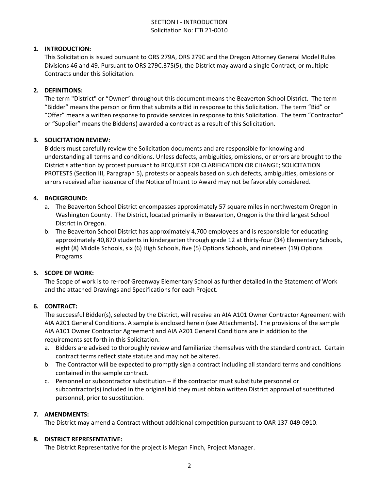## SECTION I - INTRODUCTION Solicitation No: ITB 21-0010

## **1. INTRODUCTION:**

This Solicitation is issued pursuant to ORS 279A, ORS 279C and the Oregon Attorney General Model Rules Divisions 46 and 49. Pursuant to ORS 279C.375(5), the District may award a single Contract, or multiple Contracts under this Solicitation.

#### **2. DEFINITIONS:**

The term "District" or "Owner" throughout this document means the Beaverton School District. The term "Bidder" means the person or firm that submits a Bid in response to this Solicitation. The term "Bid" or "Offer" means a written response to provide services in response to this Solicitation. The term "Contractor" or "Supplier" means the Bidder(s) awarded a contract as a result of this Solicitation.

#### **3. SOLICITATION REVIEW:**

Bidders must carefully review the Solicitation documents and are responsible for knowing and understanding all terms and conditions. Unless defects, ambiguities, omissions, or errors are brought to the District's attention by protest pursuant to REQUEST FOR CLARIFICATION OR CHANGE; SOLICITATION PROTESTS (Section III, Paragraph 5), protests or appeals based on such defects, ambiguities, omissions or errors received after issuance of the Notice of Intent to Award may not be favorably considered.

## **4. BACKGROUND:**

- a. The Beaverton School District encompasses approximately 57 square miles in northwestern Oregon in Washington County. The District, located primarily in Beaverton, Oregon is the third largest School District in Oregon.
- b. The Beaverton School District has approximately 4,700 employees and is responsible for educating approximately 40,870 students in kindergarten through grade 12 at thirty-four (34) Elementary Schools, eight (8) Middle Schools, six (6) High Schools, five (5) Options Schools, and nineteen (19) Options Programs.

#### **5. SCOPE OF WORK:**

The Scope of work is to re-roof Greenway Elementary School as further detailed in the Statement of Work and the attached Drawings and Specifications for each Project.

#### **6. CONTRACT:**

The successful Bidder(s), selected by the District, will receive an AIA A101 Owner Contractor Agreement with AIA A201 General Conditions. A sample is enclosed herein (see Attachments). The provisions of the sample AIA A101 Owner Contractor Agreement and AIA A201 General Conditions are in addition to the requirements set forth in this Solicitation.

- a. Bidders are advised to thoroughly review and familiarize themselves with the standard contract. Certain contract terms reflect state statute and may not be altered.
- b. The Contractor will be expected to promptly sign a contract including all standard terms and conditions contained in the sample contract.
- c. Personnel or subcontractor substitution if the contractor must substitute personnel or subcontractor(s) included in the original bid they must obtain written District approval of substituted personnel, prior to substitution.

#### **7. AMENDMENTS:**

The District may amend a Contract without additional competition pursuant to OAR 137-049-0910.

#### **8. DISTRICT REPRESENTATIVE:**

The District Representative for the project is Megan Finch, Project Manager.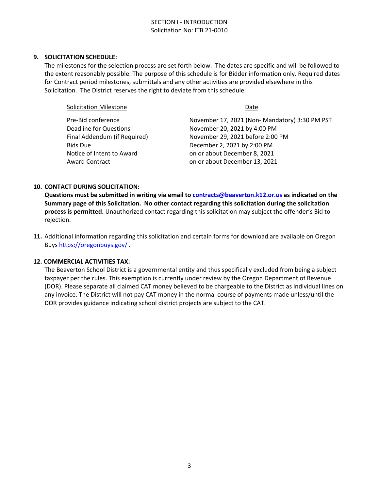#### **9. SOLICITATION SCHEDULE:**

The milestones for the selection process are set forth below. The dates are specific and will be followed to the extent reasonably possible. The purpose of this schedule is for Bidder information only. Required dates for Contract period milestones, submittals and any other activities are provided elsewhere in this Solicitation. The District reserves the right to deviate from this schedule.

| <b>Solicitation Milestone</b> | Date                                          |  |  |
|-------------------------------|-----------------------------------------------|--|--|
| Pre-Bid conference            | November 17, 2021 (Non-Mandatory) 3:30 PM PST |  |  |
| <b>Deadline for Questions</b> | November 20, 2021 by 4:00 PM                  |  |  |
| Final Addendum (if Required)  | November 29, 2021 before 2:00 PM              |  |  |
| <b>Bids Due</b>               | December 2, 2021 by 2:00 PM                   |  |  |
| Notice of Intent to Award     | on or about December 8, 2021                  |  |  |
| <b>Award Contract</b>         | on or about December 13, 2021                 |  |  |

#### **10. CONTACT DURING SOLICITATION:**

**Questions must be submitted in writing via email to [contracts@beaverton.k12.or.us](mailto:contracts@beaverton.k12.or.us) as indicated on the Summary page of this Solicitation. No other contact regarding this solicitation during the solicitation process is permitted.** Unauthorized contact regarding this solicitation may subject the offender's Bid to rejection.

**11.** Additional information regarding this solicitation and certain forms for download are available on Oregon Buys <https://oregonbuys.gov/> .

#### **12. COMMERCIAL ACTIVITIES TAX:**

The Beaverton School District is a governmental entity and thus specifically excluded from being a subject taxpayer per the rules. This exemption is currently under review by the Oregon Department of Revenue (DOR). Please separate all claimed CAT money believed to be chargeable to the District as individual lines on any invoice. The District will not pay CAT money in the normal course of payments made unless/until the DOR provides guidance indicating school district projects are subject to the CAT.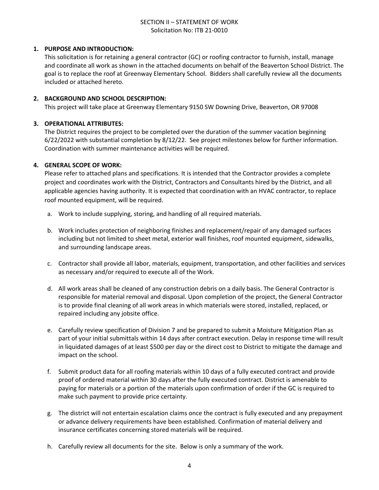## SECTION II – STATEMENT OF WORK Solicitation No: ITB 21-0010

## **1. PURPOSE AND INTRODUCTION:**

This solicitation is for retaining a general contractor (GC) or roofing contractor to furnish, install, manage and coordinate all work as shown in the attached documents on behalf of the Beaverton School District. The goal is to replace the roof at Greenway Elementary School. Bidders shall carefully review all the documents included or attached hereto.

#### **2. BACKGROUND AND SCHOOL DESCRIPTION:**

This project will take place at Greenway Elementary 9150 SW Downing Drive, Beaverton, OR 97008

## **3. OPERATIONAL ATTRIBUTES:**

The District requires the project to be completed over the duration of the summer vacation beginning 6/22/2022 with substantial completion by 8/12/22. See project milestones below for further information. Coordination with summer maintenance activities will be required.

## **4. GENERAL SCOPE OF WORK:**

Please refer to attached plans and specifications. It is intended that the Contractor provides a complete project and coordinates work with the District, Contractors and Consultants hired by the District, and all applicable agencies having authority. It is expected that coordination with an HVAC contractor, to replace roof mounted equipment, will be required.

- a. Work to include supplying, storing, and handling of all required materials.
- b. Work includes protection of neighboring finishes and replacement/repair of any damaged surfaces including but not limited to sheet metal, exterior wall finishes, roof mounted equipment, sidewalks, and surrounding landscape areas.
- c. Contractor shall provide all labor, materials, equipment, transportation, and other facilities and services as necessary and/or required to execute all of the Work.
- d. All work areas shall be cleaned of any construction debris on a daily basis. The General Contractor is responsible for material removal and disposal. Upon completion of the project, the General Contractor is to provide final cleaning of all work areas in which materials were stored, installed, replaced, or repaired including any jobsite office.
- e. Carefully review specification of Division 7 and be prepared to submit a Moisture Mitigation Plan as part of your initial submittals within 14 days after contract execution. Delay in response time will result in liquidated damages of at least \$500 per day or the direct cost to District to mitigate the damage and impact on the school.
- f. Submit product data for all roofing materials within 10 days of a fully executed contract and provide proof of ordered material within 30 days after the fully executed contract. District is amenable to paying for materials or a portion of the materials upon confirmation of order if the GC is required to make such payment to provide price certainty.
- g. The district will not entertain escalation claims once the contract is fully executed and any prepayment or advance delivery requirements have been established. Confirmation of material delivery and insurance certificates concerning stored materials will be required.
- h. Carefully review all documents for the site. Below is only a summary of the work.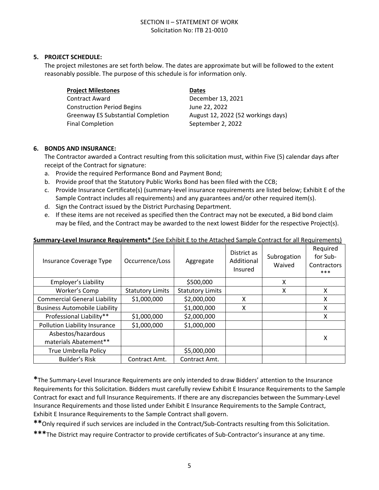## SECTION II – STATEMENT OF WORK Solicitation No: ITB 21-0010

#### **5. PROJECT SCHEDULE:**

The project milestones are set forth below. The dates are approximate but will be followed to the extent reasonably possible. The purpose of this schedule is for information only.

| <b>Project Milestones</b>                 | <b>Dates</b>                       |
|-------------------------------------------|------------------------------------|
| Contract Award                            | December 13, 2021                  |
| <b>Construction Period Begins</b>         | June 22, 2022                      |
| <b>Greenway ES Substantial Completion</b> | August 12, 2022 (52 workings days) |
| <b>Final Completion</b>                   | September 2, 2022                  |

## **6. BONDS AND INSURANCE:**

The Contractor awarded a Contract resulting from this solicitation must, within Five (5) calendar days after receipt of the Contract for signature:

- a. Provide the required Performance Bond and Payment Bond;
- b. Provide proof that the Statutory Public Works Bond has been filed with the CCB;
- c. Provide Insurance Certificate(s) (summary-level insurance requirements are listed below; Exhibit E of the Sample Contract includes all requirements) and any guarantees and/or other required item(s).
- d. Sign the Contract issued by the District Purchasing Department.
- e. If these items are not received as specified then the Contract may not be executed, a Bid bond claim may be filed, and the Contract may be awarded to the next lowest Bidder for the respective Project(s).

| Insurance Coverage Type                     | Occurrence/Loss         | Aggregate               | District as<br>Additional<br>Insured | Subrogation<br>Waived | Required<br>for Sub-<br>Contractors<br>*** |
|---------------------------------------------|-------------------------|-------------------------|--------------------------------------|-----------------------|--------------------------------------------|
| Employer's Liability                        |                         | \$500,000               |                                      | X                     |                                            |
| Worker's Comp                               | <b>Statutory Limits</b> | <b>Statutory Limits</b> |                                      | X                     | X                                          |
| <b>Commercial General Liability</b>         | \$1,000,000             | \$2,000,000             | x                                    |                       | X                                          |
| <b>Business Automobile Liability</b>        |                         | \$1,000,000             | X                                    |                       | X                                          |
| Professional Liability**                    | \$1,000,000             | \$2,000,000             |                                      |                       | x                                          |
| Pollution Liability Insurance               | \$1,000,000             | \$1,000,000             |                                      |                       |                                            |
| Asbestos/hazardous<br>materials Abatement** |                         |                         |                                      |                       | х                                          |
| True Umbrella Policy                        |                         | \$5,000,000             |                                      |                       |                                            |
| <b>Builder's Risk</b>                       | Contract Amt.           | Contract Amt.           |                                      |                       |                                            |

#### **Summary-Level Insurance Requirements\*** (See Exhibit E to the Attached Sample Contract for all Requirements)

**\***The Summary-Level Insurance Requirements are only intended to draw Bidders' attention to the Insurance Requirements for this Solicitation. Bidders must carefully review Exhibit E Insurance Requirements to the Sample Contract for exact and full Insurance Requirements. If there are any discrepancies between the Summary-Level Insurance Requirements and those listed under Exhibit E Insurance Requirements to the Sample Contract, Exhibit E Insurance Requirements to the Sample Contract shall govern.

**\*\***Only required if such services are included in the Contract/Sub-Contracts resulting from this Solicitation.

**\*\*\***The District may require Contractor to provide certificates of Sub-Contractor's insurance at any time.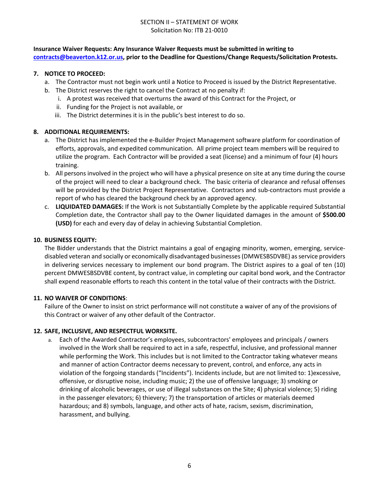## SECTION II – STATEMENT OF WORK Solicitation No: ITB 21-0010

## **Insurance Waiver Requests: Any Insurance Waiver Requests must be submitted in writing to [contracts@beaverton.k12.or.us,](mailto:contracts@beaverton.k12.or.us) prior to the Deadline for Questions/Change Requests/Solicitation Protests.**

## **7. NOTICE TO PROCEED:**

- a. The Contractor must not begin work until a Notice to Proceed is issued by the District Representative.
- b. The District reserves the right to cancel the Contract at no penalty if:
	- i. A protest was received that overturns the award of this Contract for the Project, or
	- ii. Funding for the Project is not available, or
	- iii. The District determines it is in the public's best interest to do so.

## **8. ADDITIONAL REQUIREMENTS:**

- a. The District has implemented the e-Builder Project Management software platform for coordination of efforts, approvals, and expedited communication. All prime project team members will be required to utilize the program. Each Contractor will be provided a seat (license) and a minimum of four (4) hours training.
- b. All persons involved in the project who will have a physical presence on site at any time during the course of the project will need to clear a background check. The basic criteria of clearance and refusal offenses will be provided by the District Project Representative. Contractors and sub-contractors must provide a report of who has cleared the background check by an approved agency.
- c. **LIQUIDATED DAMAGES:** If the Work is not Substantially Complete by the applicable required Substantial Completion date, the Contractor shall pay to the Owner liquidated damages in the amount of **\$500.00 (USD)** for each and every day of delay in achieving Substantial Completion.

#### **10. BUSINESS EQUITY:**

The Bidder understands that the District maintains a goal of engaging minority, women, emerging, servicedisabled veteran and socially or economically disadvantaged businesses (DMWESBSDVBE) as service providers in delivering services necessary to implement our bond program. The District aspires to a goal of ten (10) percent DMWESBSDVBE content, by contract value, in completing our capital bond work, and the Contractor shall expend reasonable efforts to reach this content in the total value of their contracts with the District.

#### **11. NO WAIVER OF CONDITIONS**:

Failure of the Owner to insist on strict performance will not constitute a waiver of any of the provisions of this Contract or waiver of any other default of the Contractor.

#### **12. SAFE, INCLUSIVE, AND RESPECTFUL WORKSITE.**

a. Each of the Awarded Contractor's employees, subcontractors' employees and principals / owners involved in the Work shall be required to act in a safe, respectful, inclusive, and professional manner while performing the Work. This includes but is not limited to the Contractor taking whatever means and manner of action Contractor deems necessary to prevent, control, and enforce, any acts in violation of the forgoing standards ("Incidents"). Incidents include, but are not limited to: 1)excessive, offensive, or disruptive noise, including music; 2) the use of offensive language; 3) smoking or drinking of alcoholic beverages, or use of illegal substances on the Site; 4) physical violence; 5) riding in the passenger elevators; 6) thievery; 7) the transportation of articles or materials deemed hazardous; and 8) symbols, language, and other acts of hate, racism, sexism, discrimination, harassment, and bullying.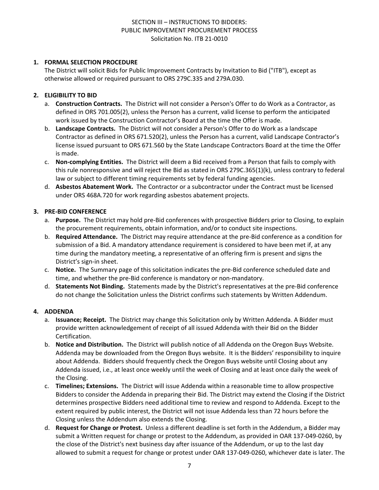## **1. FORMAL SELECTION PROCEDURE**

The District will solicit Bids for Public Improvement Contracts by Invitation to Bid ("ITB"), except as otherwise allowed or required pursuant to ORS 279C.335 and 279A.030.

## **2. ELIGIBILITY TO BID**

- a. **Construction Contracts.** The District will not consider a Person's Offer to do Work as a Contractor, as defined in ORS 701.005(2), unless the Person has a current, valid license to perform the anticipated work issued by the Construction Contractor's Board at the time the Offer is made.
- b. **Landscape Contracts.** The District will not consider a Person's Offer to do Work as a landscape Contractor as defined in ORS 671.520(2), unless the Person has a current, valid Landscape Contractor's license issued pursuant to ORS 671.560 by the State Landscape Contractors Board at the time the Offer is made.
- c. **Non-complying Entities.** The District will deem a Bid received from a Person that fails to comply with this rule nonresponsive and will reject the Bid as stated in ORS 279C.365(1)(k), unless contrary to federal law or subject to different timing requirements set by federal funding agencies.
- d. **Asbestos Abatement Work.** The Contractor or a subcontractor under the Contract must be licensed under ORS 468A.720 for work regarding asbestos abatement projects.

#### **3. PRE-BID CONFERENCE**

- a. **Purpose.** The District may hold pre-Bid conferences with prospective Bidders prior to Closing, to explain the procurement requirements, obtain information, and/or to conduct site inspections.
- b. **Required Attendance.** The District may require attendance at the pre-Bid conference as a condition for submission of a Bid. A mandatory attendance requirement is considered to have been met if, at any time during the mandatory meeting, a representative of an offering firm is present and signs the District's sign-in sheet.
- c. **Notice.** The Summary page of this solicitation indicates the pre-Bid conference scheduled date and time, and whether the pre-Bid conference is mandatory or non-mandatory.
- d. **Statements Not Binding.** Statements made by the District's representatives at the pre-Bid conference do not change the Solicitation unless the District confirms such statements by Written Addendum.

## **4. ADDENDA**

- a. **Issuance; Receipt.** The District may change this Solicitation only by Written Addenda. A Bidder must provide written acknowledgement of receipt of all issued Addenda with their Bid on the Bidder Certification.
- b. **Notice and Distribution.** The District will publish notice of all Addenda on the Oregon Buys Website. Addenda may be downloaded from the Oregon Buys website. It is the Bidders' responsibility to inquire about Addenda. Bidders should frequently check the Oregon Buys website until Closing about any Addenda issued, i.e., at least once weekly until the week of Closing and at least once daily the week of the Closing.
- c. **Timelines; Extensions.** The District will issue Addenda within a reasonable time to allow prospective Bidders to consider the Addenda in preparing their Bid. The District may extend the Closing if the District determines prospective Bidders need additional time to review and respond to Addenda. Except to the extent required by public interest, the District will not issue Addenda less than 72 hours before the Closing unless the Addendum also extends the Closing.
- d. **Request for Change or Protest.** Unless a different deadline is set forth in the Addendum, a Bidder may submit a Written request for change or protest to the Addendum, as provided in OAR 137-049-0260, by the close of the District's next business day after issuance of the Addendum, or up to the last day allowed to submit a request for change or protest under OAR 137-049-0260, whichever date is later. The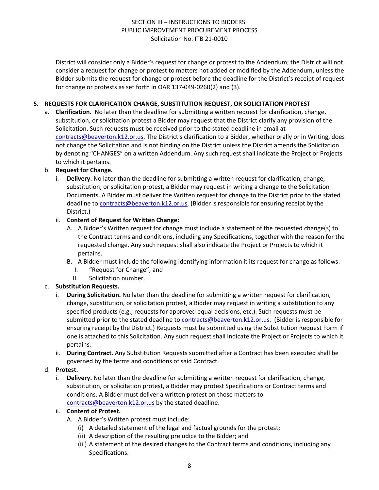District will consider only a Bidder's request for change or protest to the Addendum; the District will not consider a request for change or protest to matters not added or modified by the Addendum, unless the Bidder submits the request for change or protest before the deadline for the District's receipt of request for change or protests as set forth in OAR 137-049-0260(2) and (3).

## **5. REQUESTS FOR CLARIFICATION CHANGE, SUBSTITUTION REQUEST, OR SOLICITATION PROTEST**

a. **Clarification.** No later than the deadline for submitting a written request for clarification, change, substitution, or solicitation protest a Bidder may request that the District clarify any provision of the Solicitation. Such requests must be received prior to the stated deadline in email at [contracts@beaverton.k12.or.us.](mailto:contracts@beaverton.k12.or.us) The District's clarification to a Bidder, whether orally or in Writing, does not change the Solicitation and is not binding on the District unless the District amends the Solicitation by denoting "CHANGES" on a written Addendum. Any such request shall indicate the Project or Projects to which it pertains.

## b. **Request for Change.**

i. **Delivery.** No later than the deadline for submitting a written request for clarification, change, substitution, or solicitation protest, a Bidder may request in writing a change to the Solicitation Documents. A Bidder must deliver the Written request for change to the District prior to the stated deadline to [contracts@beaverton.k12.or.us.](mailto:contracts@beaverton.k12.or.us) (Bidder is responsible for ensuring receipt by the District.)

## ii. **Content of Request for Written Change:**

- A. A Bidder's Written request for change must include a statement of the requested change(s) to the Contract terms and conditions, including any Specifications, together with the reason for the requested change. Any such request shall also indicate the Project or Projects to which it pertains.
- B. A Bidder must include the following identifying information it its request for change as follows:
	- I. "Request for Change"; and
	- II. Solicitation number.

## c. **Substitution Requests.**

- i. **During Solicitation.** No later than the deadline for submitting a written request for clarification, change, substitution, or solicitation protest, a Bidder may request in writing a substitution to any specified products (e.g., requests for approved equal decisions, etc.). Such requests must be submitted prior to the stated deadline to [contracts@beaverton.k12.or.us](mailto:contracts@beaverton.k12.or.us). (Bidder is responsible for ensuring receipt by the District.) Requests must be submitted using the Substitution Request Form if one is attached to this Solicitation. Any such request shall indicate the Project or Projects to which it pertains.
- ii. **During Contract.** Any Substitution Requests submitted after a Contract has been executed shall be governed by the terms and conditions of said Contract.

#### d. **Protest.**

i. **Delivery.** No later than the deadline for submitting a written request for clarification, change, substitution, or solicitation protest, a Bidder may protest Specifications or Contract terms and conditions. A Bidder must deliver a written protest on those matters to [contracts@beaverton.k12.or.us](mailto:contracts@beaverton.k12.or.us) by the stated deadline.

#### ii. **Content of Protest.**

- A. A Bidder's Written protest must include:
	- (i) A detailed statement of the legal and factual grounds for the protest;
	- (ii) A description of the resulting prejudice to the Bidder; and
	- (iii) A statement of the desired changes to the Contract terms and conditions, including any Specifications.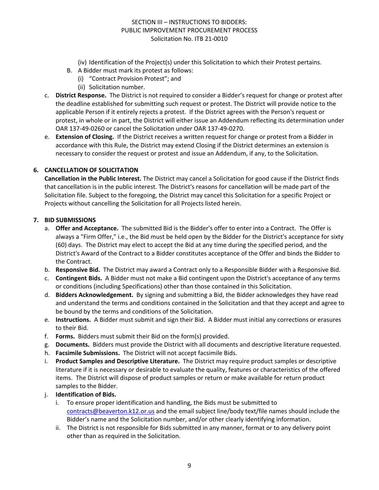- (iv) Identification of the Project(s) under this Solicitation to which their Protest pertains.
- B. A Bidder must mark its protest as follows:
	- (i) "Contract Provision Protest"; and
		- (ii) Solicitation number.
- c. **District Response.** The District is not required to consider a Bidder's request for change or protest after the deadline established for submitting such request or protest. The District will provide notice to the applicable Person if it entirely rejects a protest. If the District agrees with the Person's request or protest, in whole or in part, the District will either issue an Addendum reflecting its determination under OAR 137-49-0260 or cancel the Solicitation under OAR 137-49-0270.
- e. **Extension of Closing.** If the District receives a written request for change or protest from a Bidder in accordance with this Rule, the District may extend Closing if the District determines an extension is necessary to consider the request or protest and issue an Addendum, if any, to the Solicitation.

## **6. CANCELLATION OF SOLICITATION**

**Cancellation in the Public Interest.** The District may cancel a Solicitation for good cause if the District finds that cancellation is in the public interest. The District's reasons for cancellation will be made part of the Solicitation file. Subject to the foregoing, the District may cancel this Solicitation for a specific Project or Projects without cancelling the Solicitation for all Projects listed herein.

#### **7. BID SUBMISSIONS**

- a. **Offer and Acceptance.** The submitted Bid is the Bidder's offer to enter into a Contract. The Offer is always a "Firm Offer," i.e., the Bid must be held open by the Bidder for the District's acceptance for sixty (60) days. The District may elect to accept the Bid at any time during the specified period, and the District's Award of the Contract to a Bidder constitutes acceptance of the Offer and binds the Bidder to the Contract.
- b. **Responsive Bid.** The District may award a Contract only to a Responsible Bidder with a Responsive Bid.
- c. **Contingent Bids.** A Bidder must not make a Bid contingent upon the District's acceptance of any terms or conditions (including Specifications) other than those contained in this Solicitation.
- d. **Bidders Acknowledgement.** By signing and submitting a Bid, the Bidder acknowledges they have read and understand the terms and conditions contained in the Solicitation and that they accept and agree to be bound by the terms and conditions of the Solicitation.
- e. **Instructions.** A Bidder must submit and sign their Bid. A Bidder must initial any corrections or erasures to their Bid.
- f. **Forms.** Bidders must submit their Bid on the form(s) provided.
- g. **Documents.** Bidders must provide the District with all documents and descriptive literature requested.
- h. **Facsimile Submissions.** The District will not accept facsimile Bids.
- i. **Product Samples and Descriptive Literature.** The District may require product samples or descriptive literature if it is necessary or desirable to evaluate the quality, features or characteristics of the offered items. The District will dispose of product samples or return or make available for return product samples to the Bidder.
- j. **Identification of Bids.**
	- i. To ensure proper identification and handling, the Bids must be submitted to [contracts@beaverton.k12.or.us](mailto:contracts@beaverton.k12.or.us) and the email subject line/body text/file names should include the Bidder's name and the Solicitation number, and/or other clearly identifying information.
	- ii. The District is not responsible for Bids submitted in any manner, format or to any delivery point other than as required in the Solicitation.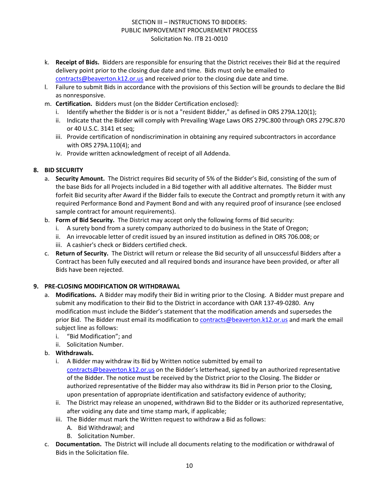- k. **Receipt of Bids.** Bidders are responsible for ensuring that the District receives their Bid at the required delivery point prior to the closing due date and time. Bids must only be emailed to [contracts@beaverton.k12.or.us](mailto:contracts@beaverton.k12.or.us) and received prior to the closing due date and time.
- l. Failure to submit Bids in accordance with the provisions of this Section will be grounds to declare the Bid as nonresponsive.
- m. **Certification.** Bidders must (on the Bidder Certification enclosed):
	- i. Identify whether the Bidder is or is not a "resident Bidder," as defined in ORS 279A.120(1);
	- ii. Indicate that the Bidder will comply with Prevailing Wage Laws ORS 279C.800 through ORS 279C.870 or 40 U.S.C. 3141 et seq;
	- iii. Provide certification of nondiscrimination in obtaining any required subcontractors in accordance with ORS 279A.110(4); and
	- iv. Provide written acknowledgment of receipt of all Addenda.

## **8. BID SECURITY**

- a. **Security Amount.** The District requires Bid security of 5% of the Bidder's Bid, consisting of the sum of the base Bids for all Projects included in a Bid together with all additive alternates. The Bidder must forfeit Bid security after Award if the Bidder fails to execute the Contract and promptly return it with any required Performance Bond and Payment Bond and with any required proof of insurance (see enclosed sample contract for amount requirements).
- b. **Form of Bid Security.** The District may accept only the following forms of Bid security:
	- i. A surety bond from a surety company authorized to do business in the State of Oregon;
	- ii. An irrevocable letter of credit issued by an insured institution as defined in ORS 706.008; or
	- iii. A cashier's check or Bidders certified check.
- c. **Return of Security.** The District will return or release the Bid security of all unsuccessful Bidders after a Contract has been fully executed and all required bonds and insurance have been provided, or after all Bids have been rejected.

## **9. PRE-CLOSING MODIFICATION OR WITHDRAWAL**

- a. **Modifications.** A Bidder may modify their Bid in writing prior to the Closing. A Bidder must prepare and submit any modification to their Bid to the District in accordance with OAR 137-49-0280. Any modification must include the Bidder's statement that the modification amends and supersedes the prior Bid. The Bidder must email its modification to [contracts@beaverton.k12.or.us](mailto:contracts@beaverton.k12.or.us) and mark the email subject line as follows:
	- i. "Bid Modification"; and
	- ii. Solicitation Number.
- b. **Withdrawals.**
	- i. A Bidder may withdraw its Bid by Written notice submitted by email to [contracts@beaverton.k12.or.us](mailto:contracts@beaverton.k12.or.us) on the Bidder's letterhead, signed by an authorized representative of the Bidder. The notice must be received by the District prior to the Closing. The Bidder or authorized representative of the Bidder may also withdraw its Bid in Person prior to the Closing, upon presentation of appropriate identification and satisfactory evidence of authority;
	- ii. The District may release an unopened, withdrawn Bid to the Bidder or its authorized representative, after voiding any date and time stamp mark, if applicable;
	- iii. The Bidder must mark the Written request to withdraw a Bid as follows:
		- A. Bid Withdrawal; and
		- B. Solicitation Number.
- c. **Documentation.** The District will include all documents relating to the modification or withdrawal of Bids in the Solicitation file.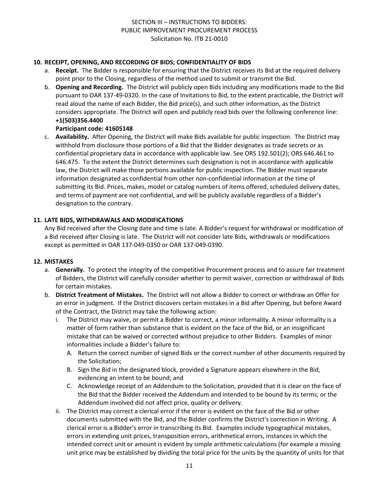## **10. RECEIPT, OPENING, AND RECORDING OF BIDS; CONFIDENTIALITY OF BIDS**

- a. **Receipt.** The Bidder is responsible for ensuring that the District receives its Bid at the required delivery point prior to the Closing, regardless of the method used to submit or transmit the Bid.
- b. **Opening and Recording.** The District will publicly open Bids including any modifications made to the Bid pursuant to OAR 137-49-0320. In the case of Invitations to Bid, to the extent practicable, the District will read aloud the name of each Bidder, the Bid price(s), and such other information, as the District considers appropriate. The District will open and publicly read bids over the following conference line: **+1(503)356.4400**

## **Participant code: 41605148**

c. **Availability.** After Opening, the District will make Bids available for public inspection. The District may withhold from disclosure those portions of a Bid that the Bidder designates as trade secrets or as confidential proprietary data in accordance with applicable law. See ORS 192.501(2); ORS 646.461 to 646.475. To the extent the District determines such designation is not in accordance with applicable law, the District will make those portions available for public inspection. The Bidder must separate information designated as confidential from other non-confidential information at the time of submitting its Bid. Prices, makes, model or catalog numbers of items offered, scheduled delivery dates, and terms of payment are not confidential, and will be publicly available regardless of a Bidder's designation to the contrary.

## **11. LATE BIDS, WITHDRAWALS AND MODIFICATIONS**

Any Bid received after the Closing date and time is late. A Bidder's request for withdrawal or modification of a Bid received after Closing is late. The District will not consider late Bids, withdrawals or modifications except as permitted in OAR 137-049-0350 or OAR 137-049-0390.

#### **12. MISTAKES**

- a. **Generally.** To protect the integrity of the competitive Procurement process and to assure fair treatment of Bidders, the District will carefully consider whether to permit waiver, correction or withdrawal of Bids for certain mistakes.
- b. **District Treatment of Mistakes.** The District will not allow a Bidder to correct or withdraw an Offer for an error in judgment. If the District discovers certain mistakes in a Bid after Opening, but before Award of the Contract, the District may take the following action:
	- i. The District may waive, or permit a Bidder to correct, a minor informality. A minor informality is a matter of form rather than substance that is evident on the face of the Bid, or an insignificant mistake that can be waived or corrected without prejudice to other Bidders. Examples of minor informalities include a Bidder's failure to:
		- A. Return the correct number of signed Bids or the correct number of other documents required by the Solicitation;
		- B. Sign the Bid in the designated block, provided a Signature appears elsewhere in the Bid, evidencing an intent to be bound; and
		- C. Acknowledge receipt of an Addendum to the Solicitation, provided that it is clear on the face of the Bid that the Bidder received the Addendum and intended to be bound by its terms; or the Addendum involved did not affect price, quality or delivery.
	- ii. The District may correct a clerical error if the error is evident on the face of the Bid or other documents submitted with the Bid, and the Bidder confirms the District's correction in Writing. A clerical error is a Bidder's error in transcribing its Bid. Examples include typographical mistakes, errors in extending unit prices, transposition errors, arithmetical errors, instances in which the intended correct unit or amount is evident by simple arithmetic calculations (for example a missing unit price may be established by dividing the total price for the units by the quantity of units for that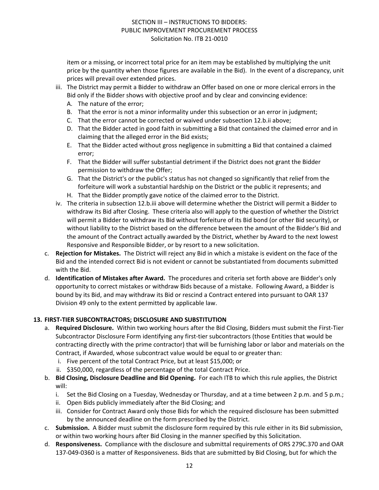item or a missing, or incorrect total price for an item may be established by multiplying the unit price by the quantity when those figures are available in the Bid). In the event of a discrepancy, unit prices will prevail over extended prices.

- iii. The District may permit a Bidder to withdraw an Offer based on one or more clerical errors in the Bid only if the Bidder shows with objective proof and by clear and convincing evidence:
	- A. The nature of the error;
	- B. That the error is not a minor informality under this subsection or an error in judgment;
	- C. That the error cannot be corrected or waived under subsection 12.b.ii above;
	- D. That the Bidder acted in good faith in submitting a Bid that contained the claimed error and in claiming that the alleged error in the Bid exists;
	- E. That the Bidder acted without gross negligence in submitting a Bid that contained a claimed error;
	- F. That the Bidder will suffer substantial detriment if the District does not grant the Bidder permission to withdraw the Offer;
	- G. That the District's or the public's status has not changed so significantly that relief from the forfeiture will work a substantial hardship on the District or the public it represents; and
	- H. That the Bidder promptly gave notice of the claimed error to the District.
- iv. The criteria in subsection 12.b.iii above will determine whether the District will permit a Bidder to withdraw its Bid after Closing. These criteria also will apply to the question of whether the District will permit a Bidder to withdraw its Bid without forfeiture of its Bid bond (or other Bid security), or without liability to the District based on the difference between the amount of the Bidder's Bid and the amount of the Contract actually awarded by the District, whether by Award to the next lowest Responsive and Responsible Bidder, or by resort to a new solicitation.
- c. **Rejection for Mistakes.** The District will reject any Bid in which a mistake is evident on the face of the Bid and the intended correct Bid is not evident or cannot be substantiated from documents submitted with the Bid.
- d. **Identification of Mistakes after Award.** The procedures and criteria set forth above are Bidder's only opportunity to correct mistakes or withdraw Bids because of a mistake. Following Award, a Bidder is bound by its Bid, and may withdraw its Bid or rescind a Contract entered into pursuant to OAR 137 Division 49 only to the extent permitted by applicable law.

#### **13. FIRST-TIER SUBCONTRACTORS; DISCLOSURE AND SUBSTITUTION**

- a. **Required Disclosure.** Within two working hours after the Bid Closing, Bidders must submit the First-Tier Subcontractor Disclosure Form identifying any first-tier subcontractors (those Entities that would be contracting directly with the prime contractor) that will be furnishing labor or labor and materials on the Contract, if Awarded, whose subcontract value would be equal to or greater than:
	- i. Five percent of the total Contract Price, but at least \$15,000; or
	- ii. \$350,000, regardless of the percentage of the total Contract Price.
- b. **Bid Closing, Disclosure Deadline and Bid Opening.** For each ITB to which this rule applies, the District will:
	- i. Set the Bid Closing on a Tuesday, Wednesday or Thursday, and at a time between 2 p.m. and 5 p.m.;
	- ii. Open Bids publicly immediately after the Bid Closing; and
	- iii. Consider for Contract Award only those Bids for which the required disclosure has been submitted by the announced deadline on the form prescribed by the District.
- c. **Submission.** A Bidder must submit the disclosure form required by this rule either in its Bid submission, or within two working hours after Bid Closing in the manner specified by this Solicitation.
- d. **Responsiveness.** Compliance with the disclosure and submittal requirements of ORS 279C.370 and OAR 137-049-0360 is a matter of Responsiveness. Bids that are submitted by Bid Closing, but for which the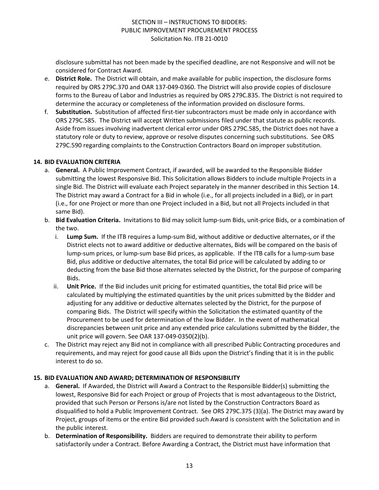disclosure submittal has not been made by the specified deadline, are not Responsive and will not be considered for Contract Award.

- e. **District Role.** The District will obtain, and make available for public inspection, the disclosure forms required by ORS 279C.370 and OAR 137-049-0360. The District will also provide copies of disclosure forms to the Bureau of Labor and Industries as required by ORS 279C.835. The District is not required to determine the accuracy or completeness of the information provided on disclosure forms.
- f. **Substitution.** Substitution of affected first-tier subcontractors must be made only in accordance with ORS 279C.585. The District will accept Written submissions filed under that statute as public records. Aside from issues involving inadvertent clerical error under ORS 279C.585, the District does not have a statutory role or duty to review, approve or resolve disputes concerning such substitutions. See ORS 279C.590 regarding complaints to the Construction Contractors Board on improper substitution.

#### **14. BID EVALUATION CRITERIA**

- a. **General.** A Public Improvement Contract, if awarded, will be awarded to the Responsible Bidder submitting the lowest Responsive Bid. This Solicitation allows Bidders to include multiple Projects in a single Bid. The District will evaluate each Project separately in the manner described in this Section 14. The District may award a Contract for a Bid in whole (i.e., for all projects included in a Bid), or in part (i.e., for one Project or more than one Project included in a Bid, but not all Projects included in that same Bid).
- b. **Bid Evaluation Criteria.** Invitations to Bid may solicit lump-sum Bids, unit-price Bids, or a combination of the two.
	- i. **Lump Sum.** If the ITB requires a lump-sum Bid, without additive or deductive alternates, or if the District elects not to award additive or deductive alternates, Bids will be compared on the basis of lump-sum prices, or lump-sum base Bid prices, as applicable. If the ITB calls for a lump-sum base Bid, plus additive or deductive alternates, the total Bid price will be calculated by adding to or deducting from the base Bid those alternates selected by the District, for the purpose of comparing Bids.
	- ii. **Unit Price.** If the Bid includes unit pricing for estimated quantities, the total Bid price will be calculated by multiplying the estimated quantities by the unit prices submitted by the Bidder and adjusting for any additive or deductive alternates selected by the District, for the purpose of comparing Bids. The District will specify within the Solicitation the estimated quantity of the Procurement to be used for determination of the low Bidder. In the event of mathematical discrepancies between unit price and any extended price calculations submitted by the Bidder, the unit price will govern. See OAR 137-049-0350(2)(b).
- c. The District may reject any Bid not in compliance with all prescribed Public Contracting procedures and requirements, and may reject for good cause all Bids upon the District's finding that it is in the public interest to do so.

## **15. BID EVALUATION AND AWARD; DETERMINATION OF RESPONSIBILITY**

- a. **General.** If Awarded, the District will Award a Contract to the Responsible Bidder(s) submitting the lowest, Responsive Bid for each Project or group of Projects that is most advantageous to the District, provided that such Person or Persons is/are not listed by the Construction Contractors Board as disqualified to hold a Public Improvement Contract. See ORS 279C.375 (3)(a). The District may award by Project, groups of items or the entire Bid provided such Award is consistent with the Solicitation and in the public interest.
- b. **Determination of Responsibility.** Bidders are required to demonstrate their ability to perform satisfactorily under a Contract. Before Awarding a Contract, the District must have information that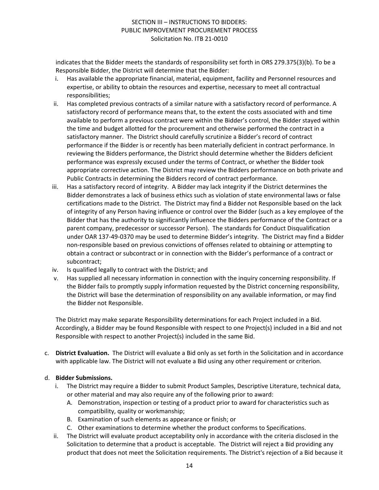indicates that the Bidder meets the standards of responsibility set forth in ORS 279.375(3)(b). To be a Responsible Bidder, the District will determine that the Bidder:

- i. Has available the appropriate financial, material, equipment, facility and Personnel resources and expertise, or ability to obtain the resources and expertise, necessary to meet all contractual responsibilities;
- ii. Has completed previous contracts of a similar nature with a satisfactory record of performance. A satisfactory record of performance means that, to the extent the costs associated with and time available to perform a previous contract were within the Bidder's control, the Bidder stayed within the time and budget allotted for the procurement and otherwise performed the contract in a satisfactory manner. The District should carefully scrutinize a Bidder's record of contract performance if the Bidder is or recently has been materially deficient in contract performance. In reviewing the Bidders performance, the District should determine whether the Bidders deficient performance was expressly excused under the terms of Contract, or whether the Bidder took appropriate corrective action. The District may review the Bidders performance on both private and Public Contracts in determining the Bidders record of contract performance.
- iii. Has a satisfactory record of integrity. A Bidder may lack integrity if the District determines the Bidder demonstrates a lack of business ethics such as violation of state environmental laws or false certifications made to the District. The District may find a Bidder not Responsible based on the lack of integrity of any Person having influence or control over the Bidder (such as a key employee of the Bidder that has the authority to significantly influence the Bidders performance of the Contract or a parent company, predecessor or successor Person). The standards for Conduct Disqualification under OAR 137-49-0370 may be used to determine Bidder's integrity. The District may find a Bidder non-responsible based on previous convictions of offenses related to obtaining or attempting to obtain a contract or subcontract or in connection with the Bidder's performance of a contract or subcontract;
- iv. Is qualified legally to contract with the District; and
- v. Has supplied all necessary information in connection with the inquiry concerning responsibility. If the Bidder fails to promptly supply information requested by the District concerning responsibility, the District will base the determination of responsibility on any available information, or may find the Bidder not Responsible.

The District may make separate Responsibility determinations for each Project included in a Bid. Accordingly, a Bidder may be found Responsible with respect to one Project(s) included in a Bid and not Responsible with respect to another Project(s) included in the same Bid.

c. **District Evaluation.** The District will evaluate a Bid only as set forth in the Solicitation and in accordance with applicable law. The District will not evaluate a Bid using any other requirement or criterion.

## d. **Bidder Submissions.**

- i. The District may require a Bidder to submit Product Samples, Descriptive Literature, technical data, or other material and may also require any of the following prior to award:
	- A. Demonstration, inspection or testing of a product prior to award for characteristics such as compatibility, quality or workmanship;
	- B. Examination of such elements as appearance or finish; or
	- C. Other examinations to determine whether the product conforms to Specifications.
- ii. The District will evaluate product acceptability only in accordance with the criteria disclosed in the Solicitation to determine that a product is acceptable. The District will reject a Bid providing any product that does not meet the Solicitation requirements. The District's rejection of a Bid because it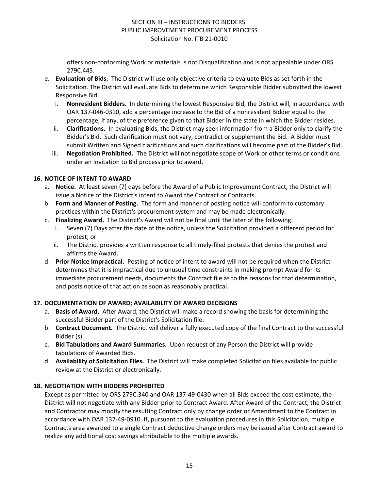offers non-conforming Work or materials is not Disqualification and is not appealable under ORS 279C.445.

- e. **Evaluation of Bids.** The District will use only objective criteria to evaluate Bids as set forth in the Solicitation. The District will evaluate Bids to determine which Responsible Bidder submitted the lowest Responsive Bid.
	- i. **Nonresident Bidders.** In determining the lowest Responsive Bid, the District will, in accordance with OAR 137-046-0310, add a percentage increase to the Bid of a nonresident Bidder equal to the percentage, if any, of the preference given to that Bidder in the state in which the Bidder resides.
	- ii. **Clarifications.** In evaluating Bids, the District may seek information from a Bidder only to clarify the Bidder's Bid. Such clarification must not vary, contradict or supplement the Bid. A Bidder must submit Written and Signed clarifications and such clarifications will become part of the Bidder's Bid.
	- iii. **Negotiation Prohibited.** The District will not negotiate scope of Work or other terms or conditions under an Invitation to Bid process prior to award.

## **16. NOTICE OF INTENT TO AWARD**

- a. **Notice.** At least seven (7) days before the Award of a Public Improvement Contract, the District will issue a Notice of the District's intent to Award the Contract or Contracts.
- b. **Form and Manner of Posting.** The form and manner of posting notice will conform to customary practices within the District's procurement system and may be made electronically.
- c. **Finalizing Award.** The District's Award will not be final until the later of the following:
	- Seven (7) Days after the date of the notice, unless the Solicitation provided a different period for protest; or
	- ii. The District provides a written response to all timely-filed protests that denies the protest and affirms the Award.
- d. **Prior Notice Impractical.** Posting of notice of intent to award will not be required when the District determines that it is impractical due to unusual time constraints in making prompt Award for its immediate procurement needs, documents the Contract file as to the reasons for that determination, and posts notice of that action as soon as reasonably practical.

## **17. DOCUMENTATION OF AWARD; AVAILABILITY OF AWARD DECISIONS**

- a. **Basis of Award.** After Award, the District will make a record showing the basis for determining the successful Bidder part of the District's Solicitation file.
- b. **Contract Document.** The District will deliver a fully executed copy of the final Contract to the successful Bidder (s).
- c. **Bid Tabulations and Award Summaries.** Upon request of any Person the District will provide tabulations of Awarded Bids.
- d. **Availability of Solicitation Files.** The District will make completed Solicitation files available for public review at the District or electronically.

## **18. NEGOTIATION WITH BIDDERS PROHIBITED**

Except as permitted by ORS 279C.340 and OAR 137-49-0430 when all Bids exceed the cost estimate, the District will not negotiate with any Bidder prior to Contract Award. After Award of the Contract, the District and Contractor may modify the resulting Contract only by change order or Amendment to the Contract in accordance with OAR 137-49-0910. If, pursuant to the evaluation procedures in this Solicitation, multiple Contracts area awarded to a single Contract deductive change orders may be issued after Contract award to realize any additional cost savings attributable to the multiple awards.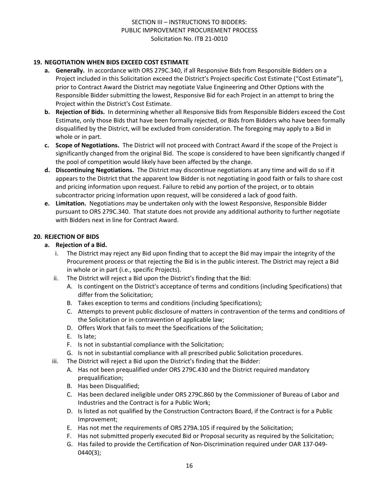## **19. NEGOTIATION WHEN BIDS EXCEED COST ESTIMATE**

- **a. Generally.** In accordance with ORS 279C.340, if all Responsive Bids from Responsible Bidders on a Project included in this Solicitation exceed the District's Project-specific Cost Estimate ("Cost Estimate"), prior to Contract Award the District may negotiate Value Engineering and Other Options with the Responsible Bidder submitting the lowest, Responsive Bid for each Project in an attempt to bring the Project within the District's Cost Estimate.
- **b. Rejection of Bids.** In determining whether all Responsive Bids from Responsible Bidders exceed the Cost Estimate, only those Bids that have been formally rejected, or Bids from Bidders who have been formally disqualified by the District, will be excluded from consideration. The foregoing may apply to a Bid in whole or in part.
- **c. Scope of Negotiations.** The District will not proceed with Contract Award if the scope of the Project is significantly changed from the original Bid. The scope is considered to have been significantly changed if the pool of competition would likely have been affected by the change.
- **d. Discontinuing Negotiations.** The District may discontinue negotiations at any time and will do so if it appears to the District that the apparent low Bidder is not negotiating in good faith or fails to share cost and pricing information upon request. Failure to rebid any portion of the project, or to obtain subcontractor pricing information upon request, will be considered a lack of good faith.
- **e. Limitation.** Negotiations may be undertaken only with the lowest Responsive, Responsible Bidder pursuant to ORS 279C.340. That statute does not provide any additional authority to further negotiate with Bidders next in line for Contract Award.

## **20. REJECTION OF BIDS**

#### **a. Rejection of a Bid.**

- i. The District may reject any Bid upon finding that to accept the Bid may impair the integrity of the Procurement process or that rejecting the Bid is in the public interest. The District may reject a Bid in whole or in part (i.e., specific Projects).
- ii. The District will reject a Bid upon the District's finding that the Bid:
	- A. Is contingent on the District's acceptance of terms and conditions (including Specifications) that differ from the Solicitation;
	- B. Takes exception to terms and conditions (including Specifications);
	- C. Attempts to prevent public disclosure of matters in contravention of the terms and conditions of the Solicitation or in contravention of applicable law;
	- D. Offers Work that fails to meet the Specifications of the Solicitation;
	- E. Is late;
	- F. Is not in substantial compliance with the Solicitation;
	- G. Is not in substantial compliance with all prescribed public Solicitation procedures.
- iii. The District will reject a Bid upon the District's finding that the Bidder:
	- A. Has not been prequalified under ORS 279C.430 and the District required mandatory prequalification;
	- B. Has been Disqualified;
	- C. Has been declared ineligible under ORS 279C.860 by the Commissioner of Bureau of Labor and Industries and the Contract is for a Public Work;
	- D. Is listed as not qualified by the Construction Contractors Board, if the Contract is for a Public Improvement;
	- E. Has not met the requirements of ORS 279A.105 if required by the Solicitation;
	- F. Has not submitted properly executed Bid or Proposal security as required by the Solicitation;
	- G. Has failed to provide the Certification of Non-Discrimination required under OAR 137-049- 0440(3);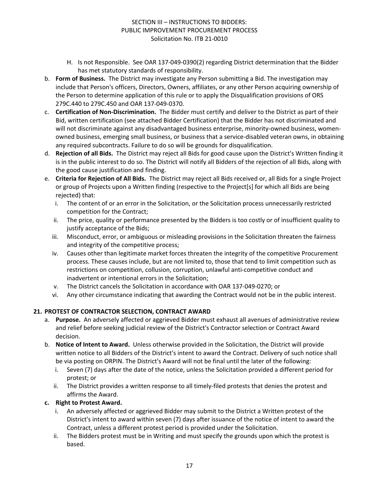- H. Is not Responsible. See OAR 137-049-0390(2) regarding District determination that the Bidder has met statutory standards of responsibility.
- b. **Form of Business.** The District may investigate any Person submitting a Bid. The investigation may include that Person's officers, Directors, Owners, affiliates, or any other Person acquiring ownership of the Person to determine application of this rule or to apply the Disqualification provisions of ORS 279C.440 to 279C.450 and OAR 137-049-0370.
- c. **Certification of Non-Discrimination.** The Bidder must certify and deliver to the District as part of their Bid, written certification (see attached Bidder Certification) that the Bidder has not discriminated and will not discriminate against any disadvantaged business enterprise, minority-owned business, womenowned business, emerging small business, or business that a service-disabled veteran owns, in obtaining any required subcontracts. Failure to do so will be grounds for disqualification.
- d. **Rejection of all Bids.** The District may reject all Bids for good cause upon the District's Written finding it is in the public interest to do so. The District will notify all Bidders of the rejection of all Bids, along with the good cause justification and finding.
- e. **Criteria for Rejection of All Bids.** The District may reject all Bids received or, all Bids for a single Project or group of Projects upon a Written finding (respective to the Project[s] for which all Bids are being rejected) that:
	- i. The content of or an error in the Solicitation, or the Solicitation process unnecessarily restricted competition for the Contract;
	- ii. The price, quality or performance presented by the Bidders is too costly or of insufficient quality to justify acceptance of the Bids;
	- iii. Misconduct, error, or ambiguous or misleading provisions in the Solicitation threaten the fairness and integrity of the competitive process;
	- iv. Causes other than legitimate market forces threaten the integrity of the competitive Procurement process. These causes include, but are not limited to, those that tend to limit competition such as restrictions on competition, collusion, corruption, unlawful anti-competitive conduct and inadvertent or intentional errors in the Solicitation;
	- v. The District cancels the Solicitation in accordance with OAR 137-049-0270; or
	- vi. Any other circumstance indicating that awarding the Contract would not be in the public interest.

## **21. PROTEST OF CONTRACTOR SELECTION, CONTRACT AWARD**

- a. **Purpose.** An adversely affected or aggrieved Bidder must exhaust all avenues of administrative review and relief before seeking judicial review of the District's Contractor selection or Contract Award decision.
- b. **Notice of Intent to Award.** Unless otherwise provided in the Solicitation, the District will provide written notice to all Bidders of the District's intent to award the Contract. Delivery of such notice shall be via posting on ORPIN. The District's Award will not be final until the later of the following:
	- i. Seven (7) days after the date of the notice, unless the Solicitation provided a different period for protest; or
	- ii. The District provides a written response to all timely-filed protests that denies the protest and affirms the Award.

## **c. Right to Protest Award.**

- i. An adversely affected or aggrieved Bidder may submit to the District a Written protest of the District's intent to award within seven (7) days after issuance of the notice of intent to award the Contract, unless a different protest period is provided under the Solicitation.
- ii. The Bidders protest must be in Writing and must specify the grounds upon which the protest is based.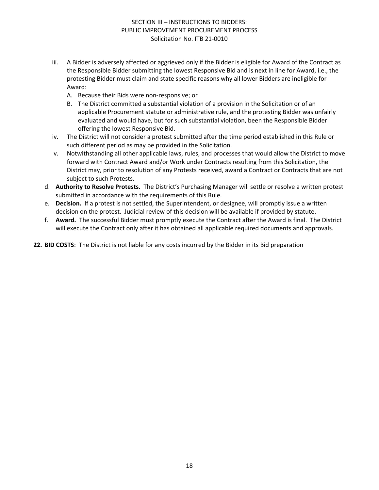- iii. A Bidder is adversely affected or aggrieved only if the Bidder is eligible for Award of the Contract as the Responsible Bidder submitting the lowest Responsive Bid and is next in line for Award, i.e., the protesting Bidder must claim and state specific reasons why all lower Bidders are ineligible for Award:
	- A. Because their Bids were non-responsive; or
	- B. The District committed a substantial violation of a provision in the Solicitation or of an applicable Procurement statute or administrative rule, and the protesting Bidder was unfairly evaluated and would have, but for such substantial violation, been the Responsible Bidder offering the lowest Responsive Bid.
- iv. The District will not consider a protest submitted after the time period established in this Rule or such different period as may be provided in the Solicitation.
- v. Notwithstanding all other applicable laws, rules, and processes that would allow the District to move forward with Contract Award and/or Work under Contracts resulting from this Solicitation, the District may, prior to resolution of any Protests received, award a Contract or Contracts that are not subject to such Protests.
- d. **Authority to Resolve Protests.** The District's Purchasing Manager will settle or resolve a written protest submitted in accordance with the requirements of this Rule.
- e. **Decision.** If a protest is not settled, the Superintendent, or designee, will promptly issue a written decision on the protest. Judicial review of this decision will be available if provided by statute.
- f. **Award.** The successful Bidder must promptly execute the Contract after the Award is final. The District will execute the Contract only after it has obtained all applicable required documents and approvals.

**22. BID COSTS**: The District is not liable for any costs incurred by the Bidder in its Bid preparation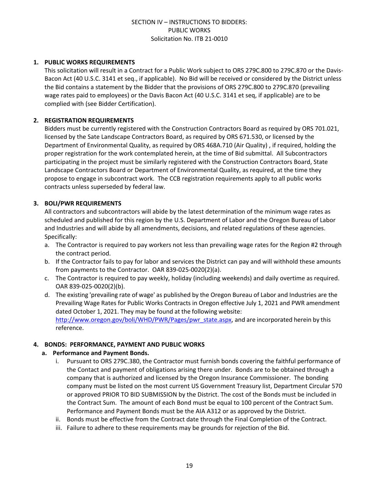#### **1. PUBLIC WORKS REQUIREMENTS**

This solicitation will result in a Contract for a Public Work subject to ORS 279C.800 to 279C.870 or the Davis-Bacon Act (40 U.S.C. 3141 et seq., if applicable). No Bid will be received or considered by the District unless the Bid contains a statement by the Bidder that the provisions of ORS 279C.800 to 279C.870 (prevailing wage rates paid to employees) or the Davis Bacon Act (40 U.S.C. 3141 et seq, if applicable) are to be complied with (see Bidder Certification).

### **2. REGISTRATION REQUIREMENTS**

Bidders must be currently registered with the Construction Contractors Board as required by ORS 701.021, licensed by the Sate Landscape Contractors Board, as required by ORS 671.530, or licensed by the Department of Environmental Quality, as required by ORS 468A.710 (Air Quality) , if required, holding the proper registration for the work contemplated herein, at the time of Bid submittal. All Subcontractors participating in the project must be similarly registered with the Construction Contractors Board, State Landscape Contractors Board or Department of Environmental Quality, as required, at the time they propose to engage in subcontract work. The CCB registration requirements apply to all public works contracts unless superseded by federal law.

## **3. BOLI/PWR REQUIREMENTS**

All contractors and subcontractors will abide by the latest determination of the minimum wage rates as scheduled and published for this region by the U.S. Department of Labor and the Oregon Bureau of Labor and Industries and will abide by all amendments, decisions, and related regulations of these agencies. Specifically:

- a. The Contractor is required to pay workers not less than prevailing wage rates for the Region #2 through the contract period.
- b. If the Contractor fails to pay for labor and services the District can pay and will withhold these amounts from payments to the Contractor. OAR 839-025-0020(2)(a).
- c. The Contractor is required to pay weekly, holiday (including weekends) and daily overtime as required. OAR 839-025-0020(2)(b).
- d. The existing 'prevailing rate of wage' as published by the Oregon Bureau of Labor and Industries are the Prevailing Wage Rates for Public Works Contracts in Oregon effective July 1, 2021 and PWR amendment dated October 1, 2021. They may be found at the following website: [http://www.oregon.gov/boli/WHD/PWR/Pages/pwr\\_state.aspx](http://www.oregon.gov/boli/WHD/PWR/Pages/pwr_state.aspx), and are incorporated herein by this reference.

#### **4. BONDS: PERFORMANCE, PAYMENT AND PUBLIC WORKS**

#### **a. Performance and Payment Bonds.**

- i. Pursuant to ORS 279C.380, the Contractor must furnish bonds covering the faithful performance of the Contact and payment of obligations arising there under. Bonds are to be obtained through a company that is authorized and licensed by the Oregon Insurance Commissioner. The bonding company must be listed on the most current US Government Treasury list, Department Circular 570 or approved PRIOR TO BID SUBMISSION by the District. The cost of the Bonds must be included in the Contract Sum. The amount of each Bond must be equal to 100 percent of the Contract Sum. Performance and Payment Bonds must be the AIA A312 or as approved by the District.
- ii. Bonds must be effective from the Contract date through the Final Completion of the Contract.
- iii. Failure to adhere to these requirements may be grounds for rejection of the Bid.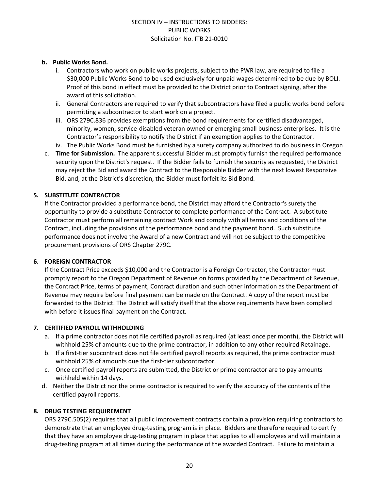## **b. Public Works Bond.**

- i. Contractors who work on public works projects, subject to the PWR law, are required to file a \$30,000 Public Works Bond to be used exclusively for unpaid wages determined to be due by BOLI. Proof of this bond in effect must be provided to the District prior to Contract signing, after the award of this solicitation.
- ii. General Contractors are required to verify that subcontractors have filed a public works bond before permitting a subcontractor to start work on a project.
- iii. ORS 279C.836 provides exemptions from the bond requirements for certified disadvantaged, minority, women, service-disabled veteran owned or emerging small business enterprises. It is the Contractor's responsibility to notify the District if an exemption applies to the Contractor.
- iv. The Public Works Bond must be furnished by a surety company authorized to do business in Oregon
- c. **Time for Submission.** The apparent successful Bidder must promptly furnish the required performance security upon the District's request. If the Bidder fails to furnish the security as requested, the District may reject the Bid and award the Contract to the Responsible Bidder with the next lowest Responsive Bid, and, at the District's discretion, the Bidder must forfeit its Bid Bond.

## **5. SUBSTITUTE CONTRACTOR**

If the Contractor provided a performance bond, the District may afford the Contractor's surety the opportunity to provide a substitute Contractor to complete performance of the Contract. A substitute Contractor must perform all remaining contract Work and comply with all terms and conditions of the Contract, including the provisions of the performance bond and the payment bond. Such substitute performance does not involve the Award of a new Contract and will not be subject to the competitive procurement provisions of ORS Chapter 279C.

#### **6. FOREIGN CONTRACTOR**

If the Contract Price exceeds \$10,000 and the Contractor is a Foreign Contractor, the Contractor must promptly report to the Oregon Department of Revenue on forms provided by the Department of Revenue, the Contract Price, terms of payment, Contract duration and such other information as the Department of Revenue may require before final payment can be made on the Contract. A copy of the report must be forwarded to the District. The District will satisfy itself that the above requirements have been complied with before it issues final payment on the Contract.

#### **7. CERTIFIED PAYROLL WITHHOLDING**

- a. If a prime contractor does not file certified payroll as required (at least once per month), the District will withhold 25% of amounts due to the prime contractor, in addition to any other required Retainage.
- b. If a first-tier subcontract does not file certified payroll reports as required, the prime contractor must withhold 25% of amounts due the first-tier subcontractor.
- c. Once certified payroll reports are submitted, the District or prime contractor are to pay amounts withheld within 14 days.
- d. Neither the District nor the prime contractor is required to verify the accuracy of the contents of the certified payroll reports.

## **8. DRUG TESTING REQUIREMENT**

ORS 279C.505(2) requires that all public improvement contracts contain a provision requiring contractors to demonstrate that an employee drug-testing program is in place. Bidders are therefore required to certify that they have an employee drug-testing program in place that applies to all employees and will maintain a drug-testing program at all times during the performance of the awarded Contract. Failure to maintain a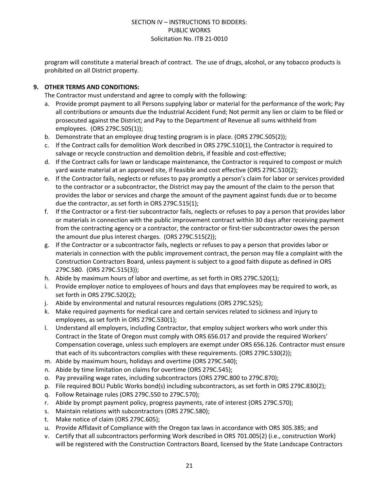program will constitute a material breach of contract. The use of drugs, alcohol, or any tobacco products is prohibited on all District property.

## **9. OTHER TERMS AND CONDITIONS:**

The Contractor must understand and agree to comply with the following:

- a. Provide prompt payment to all Persons supplying labor or material for the performance of the work; Pay all contributions or amounts due the Industrial Accident Fund; Not permit any lien or claim to be filed or prosecuted against the District; and Pay to the Department of Revenue all sums withheld from employees. (ORS 279C.505(1));
- b. Demonstrate that an employee drug testing program is in place. (ORS 279C.505(2));
- c. If the Contract calls for demolition Work described in ORS 279C.510(1), the Contractor is required to salvage or recycle construction and demolition debris, if feasible and cost-effective;
- d. If the Contract calls for lawn or landscape maintenance, the Contractor is required to compost or mulch yard waste material at an approved site, if feasible and cost effective (ORS 279C.510(2);
- e. If the Contractor fails, neglects or refuses to pay promptly a person's claim for labor or services provided to the contractor or a subcontractor, the District may pay the amount of the claim to the person that provides the labor or services and charge the amount of the payment against funds due or to become due the contractor, as set forth in ORS 279C.515(1);
- f. If the Contractor or a first-tier subcontractor fails, neglects or refuses to pay a person that provides labor or materials in connection with the public improvement contract within 30 days after receiving payment from the contracting agency or a contractor, the contractor or first-tier subcontractor owes the person the amount due plus interest charges. (ORS 279C.515(2));
- g. If the Contractor or a subcontractor fails, neglects or refuses to pay a person that provides labor or materials in connection with the public improvement contract, the person may file a complaint with the Construction Contractors Board, unless payment is subject to a good faith dispute as defined in ORS 279C.580. (ORS 279C.515(3));
- h. Abide by maximum hours of labor and overtime, as set forth in ORS 279C.520(1);
- i. Provide employer notice to employees of hours and days that employees may be required to work, as set forth in ORS 279C.520(2);
- j. Abide by environmental and natural resources regulations (ORS 279C.525);
- k. Make required payments for medical care and certain services related to sickness and injury to employees, as set forth in ORS 279C.530(1);
- l. Understand all employers, including Contractor, that employ subject workers who work under this Contract in the State of Oregon must comply with ORS 656.017 and provide the required Workers' Compensation coverage, unless such employers are exempt under ORS 656.126. Contractor must ensure that each of its subcontractors complies with these requirements. (ORS 279C.530(2));
- m. Abide by maximum hours, holidays and overtime (ORS 279C.540);
- n. Abide by time limitation on claims for overtime (ORS 279C.545);
- o. Pay prevailing wage rates, including subcontractors (ORS 279C.800 to 279C.870);
- p. File required BOLI Public Works bond(s) including subcontractors, as set forth in ORS 279C.830(2);
- q. Follow Retainage rules (ORS 279C.550 to 279C.570);
- r. Abide by prompt payment policy, progress payments, rate of interest (ORS 279C.570);
- s. Maintain relations with subcontractors (ORS 279C.580);
- t. Make notice of claim (ORS 279C.605);
- u. Provide Affidavit of Compliance with the Oregon tax laws in accordance with ORS 305.385; and
- v. Certify that all subcontractors performing Work described in ORS 701.005(2) (i.e., construction Work) will be registered with the Construction Contractors Board, licensed by the State Landscape Contractors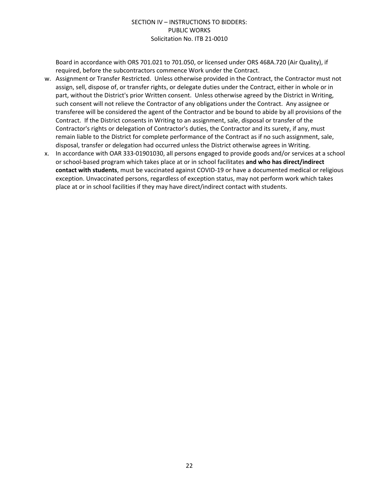Board in accordance with ORS 701.021 to 701.050, or licensed under ORS 468A.720 (Air Quality), if required, before the subcontractors commence Work under the Contract.

- w. Assignment or Transfer Restricted. Unless otherwise provided in the Contract, the Contractor must not assign, sell, dispose of, or transfer rights, or delegate duties under the Contract, either in whole or in part, without the District's prior Written consent. Unless otherwise agreed by the District in Writing, such consent will not relieve the Contractor of any obligations under the Contract. Any assignee or transferee will be considered the agent of the Contractor and be bound to abide by all provisions of the Contract. If the District consents in Writing to an assignment, sale, disposal or transfer of the Contractor's rights or delegation of Contractor's duties, the Contractor and its surety, if any, must remain liable to the District for complete performance of the Contract as if no such assignment, sale, disposal, transfer or delegation had occurred unless the District otherwise agrees in Writing.
- x. In accordance with OAR 333-01901030, all persons engaged to provide goods and/or services at a school or school-based program which takes place at or in school facilitates **and who has direct/indirect contact with students**, must be vaccinated against COVID-19 or have a documented medical or religious exception. Unvaccinated persons, regardless of exception status, may not perform work which takes place at or in school facilities if they may have direct/indirect contact with students.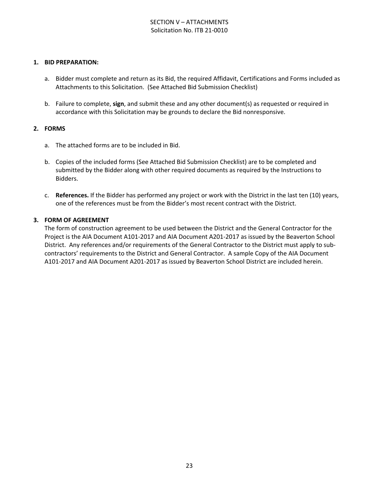## SECTION V – ATTACHMENTS Solicitation No. ITB 21-0010

#### **1. BID PREPARATION:**

- a. Bidder must complete and return as its Bid, the required Affidavit, Certifications and Forms included as Attachments to this Solicitation. (See Attached Bid Submission Checklist)
- b. Failure to complete, **sign**, and submit these and any other document(s) as requested or required in accordance with this Solicitation may be grounds to declare the Bid nonresponsive.

#### **2. FORMS**

- a. The attached forms are to be included in Bid.
- b. Copies of the included forms (See Attached Bid Submission Checklist) are to be completed and submitted by the Bidder along with other required documents as required by the Instructions to Bidders.
- c. **References.** If the Bidder has performed any project or work with the District in the last ten (10) years, one of the references must be from the Bidder's most recent contract with the District.

#### **3. FORM OF AGREEMENT**

The form of construction agreement to be used between the District and the General Contractor for the Project is the AIA Document A101-2017 and AIA Document A201-2017 as issued by the Beaverton School District. Any references and/or requirements of the General Contractor to the District must apply to subcontractors' requirements to the District and General Contractor. A sample Copy of the AIA Document A101-2017 and AIA Document A201-2017 as issued by Beaverton School District are included herein.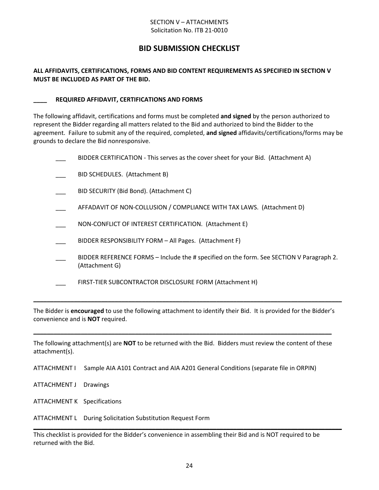#### SECTION V – ATTACHMENTS Solicitation No. ITB 21-0010

## **BID SUBMISSION CHECKLIST**

## **ALL AFFIDAVITS, CERTIFICATIONS, FORMS AND BID CONTENT REQUIREMENTS AS SPECIFIED IN SECTION V MUST BE INCLUDED AS PART OF THE BID.**

#### **\_\_\_\_ REQUIRED AFFIDAVIT, CERTIFICATIONS AND FORMS**

The following affidavit, certifications and forms must be completed **and signed** by the person authorized to represent the Bidder regarding all matters related to the Bid and authorized to bind the Bidder to the agreement. Failure to submit any of the required, completed, **and signed** affidavits/certifications/forms may be grounds to declare the Bid nonresponsive.

| BIDDER CERTIFICATION - This serves as the cover sheet for your Bid. (Attachment A)                         |
|------------------------------------------------------------------------------------------------------------|
| BID SCHEDULES. (Attachment B)                                                                              |
| BID SECURITY (Bid Bond). (Attachment C)                                                                    |
| AFFADAVIT OF NON-COLLUSION / COMPLIANCE WITH TAX LAWS. (Attachment D)                                      |
| NON-CONFLICT OF INTEREST CERTIFICATION. (Attachment E)                                                     |
| BIDDER RESPONSIBILITY FORM - All Pages. (Attachment F)                                                     |
| BIDDER REFERENCE FORMS – Include the # specified on the form. See SECTION V Paragraph 2.<br>(Attachment G) |
| FIRST-TIER SUBCONTRACTOR DISCLOSURE FORM (Attachment H)                                                    |
|                                                                                                            |

The Bidder is **encouraged** to use the following attachment to identify their Bid. It is provided for the Bidder's convenience and is **NOT** required.

**\_\_\_\_\_\_\_\_\_\_\_\_\_\_\_\_\_\_\_\_\_\_\_\_\_\_\_\_\_\_\_\_\_\_\_\_\_\_\_\_\_\_\_\_\_\_\_\_\_\_\_\_\_\_\_\_\_\_\_\_\_\_\_\_\_\_\_\_\_\_\_\_\_\_\_\_\_\_\_\_\_\_\_\_\_\_\_\_\_\_\_**

The following attachment(s) are **NOT** to be returned with the Bid. Bidders must review the content of these attachment(s).

**\_\_\_\_\_\_\_\_\_\_\_\_\_\_\_\_\_\_\_\_\_\_\_\_\_\_\_\_\_\_\_\_\_\_\_\_\_\_\_\_\_\_\_\_\_\_\_\_\_\_\_\_\_\_\_\_\_\_\_\_\_\_\_\_\_\_\_\_\_\_\_\_\_\_\_\_\_\_\_\_\_\_\_\_\_\_\_\_**

ATTACHMENT I Sample AIA A101 Contract and AIA A201 General Conditions (separate file in ORPIN)

ATTACHMENT J Drawings

ATTACHMENT K Specifications

ATTACHMENT L During Solicitation Substitution Request Form

This checklist is provided for the Bidder's convenience in assembling their Bid and is NOT required to be returned with the Bid.

**\_\_\_\_\_\_\_\_\_\_\_\_\_\_\_\_\_\_\_\_\_\_\_\_\_\_\_\_\_\_\_\_\_\_\_\_\_\_\_\_\_\_\_\_\_\_\_\_\_\_\_\_\_\_\_\_\_\_\_\_\_\_\_\_\_\_\_\_\_\_\_\_\_\_\_\_\_\_\_\_\_\_\_\_\_\_\_\_\_\_\_**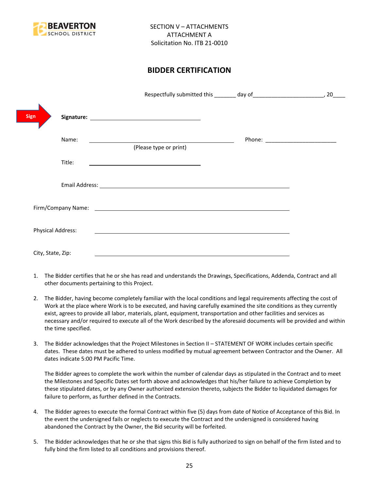

## **BIDDER CERTIFICATION**

| <b>Sign</b>       |                                                                                                                                                                                                                                |                                      |
|-------------------|--------------------------------------------------------------------------------------------------------------------------------------------------------------------------------------------------------------------------------|--------------------------------------|
| Name:             | <u> 1989 - Johann Stoff, deutscher Stoffen und der Stoffen und der Stoffen und der Stoffen und der Stoffen und der</u><br>(Please type or print)                                                                               | Phone: _____________________________ |
| Title:            |                                                                                                                                                                                                                                |                                      |
|                   |                                                                                                                                                                                                                                |                                      |
|                   | Firm/Company Name: The company of the company of the company of the company of the company of the company of the company of the company of the company of the company of the company of the company of the company of the comp |                                      |
| Physical Address: |                                                                                                                                                                                                                                |                                      |
| City, State, Zip: |                                                                                                                                                                                                                                |                                      |

- 1. The Bidder certifies that he or she has read and understands the Drawings, Specifications, Addenda, Contract and all other documents pertaining to this Project.
- 2. The Bidder, having become completely familiar with the local conditions and legal requirements affecting the cost of Work at the place where Work is to be executed, and having carefully examined the site conditions as they currently exist, agrees to provide all labor, materials, plant, equipment, transportation and other facilities and services as necessary and/or required to execute all of the Work described by the aforesaid documents will be provided and within the time specified.
- 3. The Bidder acknowledges that the Project Milestones in Section II STATEMENT OF WORK includes certain specific dates. These dates must be adhered to unless modified by mutual agreement between Contractor and the Owner. All dates indicate 5:00 PM Pacific Time.

The Bidder agrees to complete the work within the number of calendar days as stipulated in the Contract and to meet the Milestones and Specific Dates set forth above and acknowledges that his/her failure to achieve Completion by these stipulated dates, or by any Owner authorized extension thereto, subjects the Bidder to liquidated damages for failure to perform, as further defined in the Contracts.

- 4. The Bidder agrees to execute the formal Contract within five (5) days from date of Notice of Acceptance of this Bid. In the event the undersigned fails or neglects to execute the Contract and the undersigned is considered having abandoned the Contract by the Owner, the Bid security will be forfeited.
- 5. The Bidder acknowledges that he or she that signs this Bid is fully authorized to sign on behalf of the firm listed and to fully bind the firm listed to all conditions and provisions thereof.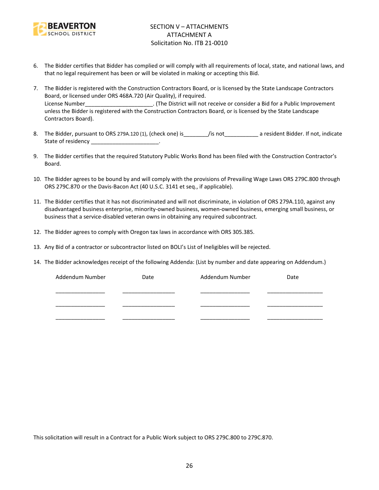

- 6. The Bidder certifies that Bidder has complied or will comply with all requirements of local, state, and national laws, and that no legal requirement has been or will be violated in making or accepting this Bid.
- 7. The Bidder is registered with the Construction Contractors Board, or is licensed by the State Landscape Contractors Board, or licensed under ORS 468A.720 (Air Quality), if required. License Number\_\_\_\_\_\_\_\_\_\_\_\_\_\_\_\_\_\_\_\_\_\_\_\_. (The District will not receive or consider a Bid for a Public Improvement unless the Bidder is registered with the Construction Contractors Board, or is licensed by the State Landscape Contractors Board).
- 8. The Bidder, pursuant to ORS 279A.120 (1), (check one) is figure is figure to a resident Bidder. If not, indicate State of residency \_\_\_\_\_\_\_\_\_\_\_\_\_\_\_\_\_\_\_\_\_\_\_\_.
- 9. The Bidder certifies that the required Statutory Public Works Bond has been filed with the Construction Contractor's Board.
- 10. The Bidder agrees to be bound by and will comply with the provisions of Prevailing Wage Laws ORS 279C.800 through ORS 279C.870 or the Davis-Bacon Act (40 U.S.C. 3141 et seq., if applicable).
- 11. The Bidder certifies that it has not discriminated and will not discriminate, in violation of ORS 279A.110, against any disadvantaged business enterprise, minority-owned business, women-owned business, emerging small business, or business that a service-disabled veteran owns in obtaining any required subcontract.
- 12. The Bidder agrees to comply with Oregon tax laws in accordance with ORS 305.385.
- 13. Any Bid of a contractor or subcontractor listed on BOLI's List of Ineligibles will be rejected.
- 14. The Bidder acknowledges receipt of the following Addenda: (List by number and date appearing on Addendum.)

| Addendum Number | Date | Addendum Number | Date |
|-----------------|------|-----------------|------|
|                 |      |                 |      |
|                 |      |                 |      |
|                 |      |                 |      |
|                 |      |                 |      |
|                 |      |                 |      |

This solicitation will result in a Contract for a Public Work subject to ORS 279C.800 to 279C.870.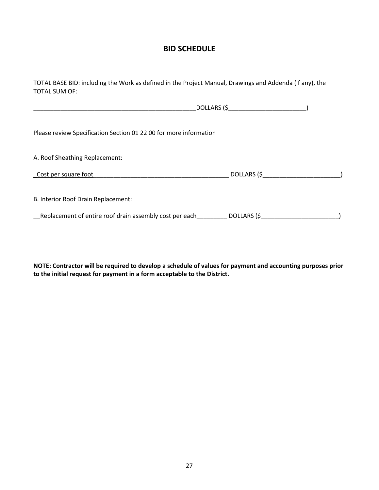## **BID SCHEDULE**

TOTAL BASE BID: including the Work as defined in the Project Manual, Drawings and Addenda (if any), the TOTAL SUM OF:

|                                                                   | $DOLLARS$ (\$ |
|-------------------------------------------------------------------|---------------|
| Please review Specification Section 01 22 00 for more information |               |
| A. Roof Sheathing Replacement:                                    |               |
| Cost per square foot                                              | $DOLLARS$ (\$ |
| B. Interior Roof Drain Replacement:                               |               |
| Replacement of entire roof drain assembly cost per each           |               |

**NOTE: Contractor will be required to develop a schedule of values for payment and accounting purposes prior to the initial request for payment in a form acceptable to the District.**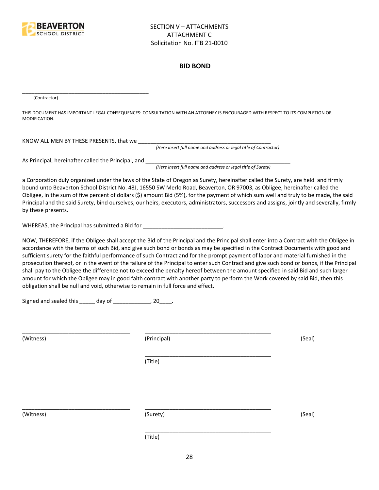

#### **BID BOND**

(Contractor)

THIS DOCUMENT HAS IMPORTANT LEGAL CONSEQUENCES: CONSULTATION WITH AN ATTORNEY IS ENCOURAGED WITH RESPECT TO ITS COMPLETION OR MODIFICATION.

KNOW ALL MEN BY THESE PRESENTS, that we \_\_\_\_\_\_\_\_\_\_\_\_\_\_\_\_\_\_\_\_\_\_\_\_\_\_\_\_\_\_\_\_\_\_\_\_\_\_\_\_\_\_\_

*(Here insert full name and address or legal title of Contractor)*

As Principal, hereinafter called the Principal, and \_\_\_\_\_\_\_\_\_\_\_\_\_\_\_\_\_\_\_\_\_\_\_\_\_\_\_\_

\_\_\_\_\_\_\_\_\_\_\_\_\_\_\_\_\_\_\_\_\_\_\_\_\_\_\_\_\_\_\_\_\_\_\_\_\_\_\_\_\_

*(Here insert full name and address or legal title of Surety)*

a Corporation duly organized under the laws of the State of Oregon as Surety, hereinafter called the Surety, are held and firmly bound unto Beaverton School District No. 48J, 16550 SW Merlo Road, Beaverton, OR 97003, as Obligee, hereinafter called the Obligee, in the sum of five percent of dollars (\$) amount Bid (5%), for the payment of which sum well and truly to be made, the said Principal and the said Surety, bind ourselves, our heirs, executors, administrators, successors and assigns, jointly and severally, firmly by these presents.

WHEREAS, the Principal has submitted a Bid for \_\_\_\_\_\_\_\_\_\_\_\_\_\_\_\_\_\_\_\_\_\_\_\_\_\_\_\_\_\_\_\_\_

NOW, THEREFORE, if the Obligee shall accept the Bid of the Principal and the Principal shall enter into a Contract with the Obligee in accordance with the terms of such Bid, and give such bond or bonds as may be specified in the Contract Documents with good and sufficient surety for the faithful performance of such Contract and for the prompt payment of labor and material furnished in the prosecution thereof, or in the event of the failure of the Principal to enter such Contract and give such bond or bonds, if the Principal shall pay to the Obligee the difference not to exceed the penalty hereof between the amount specified in said Bid and such larger amount for which the Obligee may in good faith contract with another party to perform the Work covered by said Bid, then this obligation shall be null and void, otherwise to remain in full force and effect.

\_\_\_\_\_\_\_\_\_\_\_\_\_\_\_\_\_\_\_\_\_\_\_\_\_\_\_\_\_\_\_\_\_\_\_\_\_\_\_\_\_

\_\_\_\_\_\_\_\_\_\_\_\_\_\_\_\_\_\_\_\_\_\_\_\_\_\_\_\_\_\_\_\_\_\_\_\_\_\_\_\_\_

Signed and sealed this \_\_\_\_\_ day of \_\_\_\_\_\_\_\_\_\_\_\_, 20\_\_\_\_.

(Witness) (Principal) (Seal)

(Title)

\_\_\_\_\_\_\_\_\_\_\_\_\_\_\_\_\_\_\_\_\_\_\_\_\_\_\_\_\_\_\_\_\_\_\_ \_\_\_\_\_\_\_\_\_\_\_\_\_\_\_\_\_\_\_\_\_\_\_\_\_\_\_\_\_\_\_\_\_\_\_\_\_\_\_\_\_

(Witness) (Surety) (Seal)

\_\_\_\_\_\_\_\_\_\_\_\_\_\_\_\_\_\_\_\_\_\_\_\_\_\_\_\_\_\_\_\_\_\_\_ \_\_\_\_\_\_\_\_\_\_\_\_\_\_\_\_\_\_\_\_\_\_\_\_\_\_\_\_\_\_\_\_\_\_\_\_\_\_\_\_\_

(Title)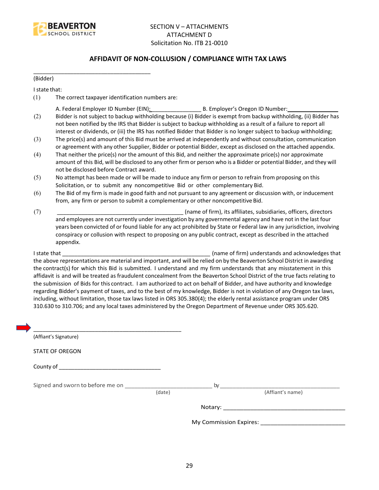

## **AFFIDAVIT OF NON-COLLUSION / COMPLIANCE WITH TAX LAWS**

(Bidder)

I state that:

(1) The correct taxpayer identification numbers are:

\_\_\_\_\_\_\_\_\_\_\_\_\_\_\_\_\_\_\_\_\_\_\_\_\_\_\_\_\_\_\_\_\_\_\_\_\_\_

- A. Federal Employer ID Number (EIN): \_\_\_\_\_\_\_\_\_\_\_\_\_\_\_\_ B. Employer's Oregon ID Number: \_\_\_\_\_\_\_\_\_\_\_\_\_\_\_\_
- (2) Bidder is not subject to backup withholding because (i) Bidder is exempt from backup withholding, (ii) Bidder has not been notified by the IRS that Bidder is subject to backup withholding as a result of a failure to report all interest or dividends, or (iii) the IRS has notified Bidder that Bidder is no longer subject to backup withholding;
- (3) The price(s) and amount of this Bid must be arrived at independently and without consultation, communication or agreement with any other Supplier, Bidder or potential Bidder, except as disclosed on the attached appendix.
- (4) That neither the price(s) nor the amount of this Bid, and neither the approximate price(s) nor approximate amount of this Bid, will be disclosed to any other firm or person who is a Bidder or potential Bidder, and they will not be disclosed before Contract award.
- (5) No attempt has been made or will be made to induce any firm or person to refrain from proposing on this Solicitation, or to submit any noncompetitive Bid or other complementary Bid.
- (6) The Bid of my firm is made in good faith and not pursuant to any agreement or discussion with, or inducement from, any firm or person to submit a complementary or other noncompetitive Bid.
- (7) \_\_\_\_\_\_\_\_\_\_\_\_\_\_\_\_\_\_\_\_\_\_\_\_\_\_\_\_\_\_\_\_\_\_\_\_\_\_\_\_\_ (name of firm), its affiliates, subsidiaries, officers, directors and employees are not currently under investigation by any governmental agency and have not in the last four years been convicted of or found liable for any act prohibited by State or Federal law in any jurisdiction, involving conspiracy or collusion with respect to proposing on any public contract, except as described in the attached appendix.

I state that **I state that**  $\blacksquare$  (name of firm) understands and acknowledges that the above representations are material and important, and will be relied on by the Beaverton School District in awarding the contract(s) for which this Bid is submitted. I understand and my firm understands that any misstatement in this affidavit is and will be treated as fraudulent concealment from the Beaverton School District of the true facts relating to the submission of Bids for this contract. I am authorized to act on behalf of Bidder, and have authority and knowledge regarding Bidder's payment of taxes, and to the best of my knowledge, Bidder is not in violation of any Oregon tax laws, including, without limitation, those tax laws listed in ORS 305.380(4); the elderly rental assistance program under ORS 310.630 to 310.706; and any local taxes administered by the Oregon Department of Revenue under ORS 305.620.

| (Affiant's Signature)            |        |    |                                      |
|----------------------------------|--------|----|--------------------------------------|
| <b>STATE OF OREGON</b>           |        |    |                                      |
|                                  |        |    |                                      |
| Signed and sworn to before me on |        | by |                                      |
|                                  | (date) |    | (Affiant's name)                     |
|                                  |        |    |                                      |
|                                  |        |    | My Commission Expires: _____________ |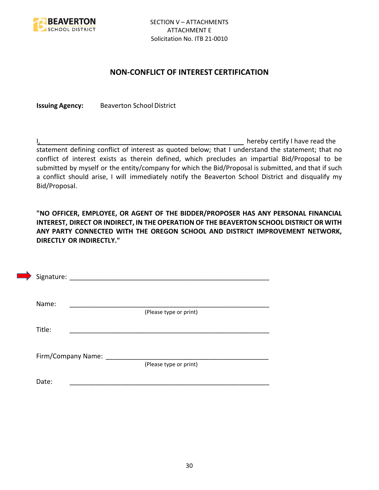

## **NON-CONFLICT OF INTEREST CERTIFICATION**

**Issuing Agency:** Beaverton School District

I, the contract of the contract of the contract of the contract of the hereby certify I have read the statement defining conflict of interest as quoted below; that I understand the statement; that no conflict of interest exists as therein defined, which precludes an impartial Bid/Proposal to be submitted by myself or the entity/company for which the Bid/Proposal is submitted, and that if such a conflict should arise, I will immediately notify the Beaverton School District and disqualify my Bid/Proposal.

**"NO OFFICER, EMPLOYEE, OR AGENT OF THE BIDDER/PROPOSER HAS ANY PERSONAL FINANCIAL INTEREST, DIRECT OR INDIRECT, IN THE OPERATION OF THE BEAVERTON SCHOOL DISTRICT OR WITH ANY PARTY CONNECTED WITH THE OREGON SCHOOL AND DISTRICT IMPROVEMENT NETWORK, DIRECTLY OR INDIRECTLY."**

| Signature: |                    |                        |  |
|------------|--------------------|------------------------|--|
| Name:      |                    |                        |  |
| Title:     |                    | (Please type or print) |  |
|            |                    |                        |  |
|            | Firm/Company Name: | (Please type or print) |  |
| Date:      |                    |                        |  |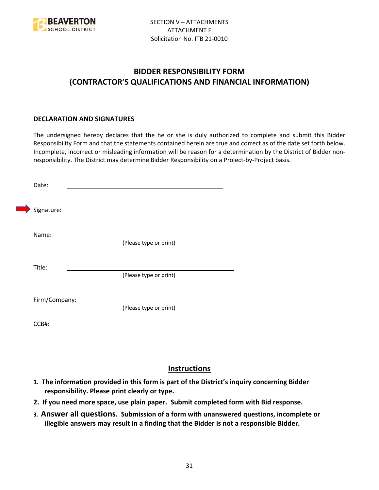

# **BIDDER RESPONSIBILITY FORM (CONTRACTOR'S QUALIFICATIONS AND FINANCIAL INFORMATION)**

## **DECLARATION AND SIGNATURES**

The undersigned hereby declares that the he or she is duly authorized to complete and submit this Bidder Responsibility Form and that the statements contained herein are true and correct as of the date set forth below. Incomplete, incorrect or misleading information will be reason for a determination by the District of Bidder nonresponsibility. The District may determine Bidder Responsibility on a Project-by-Project basis.

| Date:         |                                                             |
|---------------|-------------------------------------------------------------|
| Signature:    | the control of the control of the control of the control of |
| Name:         |                                                             |
|               | (Please type or print)                                      |
| Title:        |                                                             |
|               | (Please type or print)                                      |
| Firm/Company: |                                                             |
|               | (Please type or print)                                      |
| CCB#:         |                                                             |

## **Instructions**

- **1. The information provided in this form is part of the District's inquiry concerning Bidder responsibility. Please print clearly or type.**
- **2. If you need more space, use plain paper. Submit completed form with Bid response.**
- **3. Answer all questions. Submission of a form with unanswered questions, incomplete or illegible answers may result in a finding that the Bidder is not a responsible Bidder.**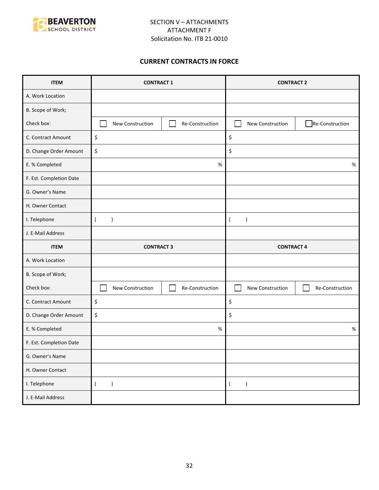

## **CURRENT CONTRACTS IN FORCE**

| <b>ITEM</b>             | <b>CONTRACT 1</b>               |                 | <b>CONTRACT 2</b>             |                 |
|-------------------------|---------------------------------|-----------------|-------------------------------|-----------------|
| A. Work Location        |                                 |                 |                               |                 |
| B. Scope of Work;       |                                 |                 |                               |                 |
| Check box:              | New Construction                | Re-Construction | New Construction              | Re-Construction |
| C. Contract Amount      | \$                              |                 | \$                            |                 |
| D. Change Order Amount  | \$                              |                 | \$                            |                 |
| E. % Completed          |                                 | $\%$            |                               | $\%$            |
| F. Est. Completion Date |                                 |                 |                               |                 |
| G. Owner's Name         |                                 |                 |                               |                 |
| H. Owner Contact        |                                 |                 |                               |                 |
| I. Telephone            | $\overline{(}$<br>$\mathcal{E}$ |                 | $\lambda$<br>$\overline{ }$   |                 |
| J. E-Mail Address       |                                 |                 |                               |                 |
|                         | <b>CONTRACT 3</b>               |                 |                               |                 |
| <b>ITEM</b>             |                                 |                 | <b>CONTRACT 4</b>             |                 |
| A. Work Location        |                                 |                 |                               |                 |
| B. Scope of Work;       |                                 |                 |                               |                 |
| Check box:              | New Construction                | Re-Construction | New Construction              | Re-Construction |
| C. Contract Amount      | \$                              |                 | \$                            |                 |
| D. Change Order Amount  | \$                              |                 | \$                            |                 |
| E. % Completed          |                                 | $\%$            |                               | $\%$            |
| F. Est. Completion Date |                                 |                 |                               |                 |
| G. Owner's Name         |                                 |                 |                               |                 |
| H. Owner Contact        |                                 |                 |                               |                 |
| I. Telephone            | $\overline{(\ }$<br>$\lambda$   |                 | $\lambda$<br>$\overline{(\ }$ |                 |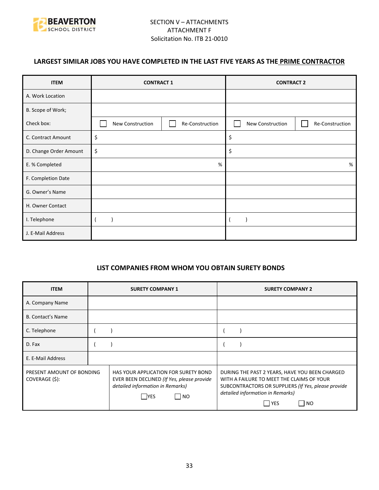

## **LARGEST SIMILAR JOBS YOU HAVE COMPLETED IN THE LAST FIVE YEARS AS THE PRIME CONTRACTOR**

| <b>ITEM</b>            | <b>CONTRACT 1</b> |                 | <b>CONTRACT 2</b> |                 |
|------------------------|-------------------|-----------------|-------------------|-----------------|
| A. Work Location       |                   |                 |                   |                 |
| B. Scope of Work;      |                   |                 |                   |                 |
| Check box:             | New Construction  | Re-Construction | New Construction  | Re-Construction |
| C. Contract Amount     | \$                |                 | \$                |                 |
| D. Change Order Amount | \$                |                 | \$                |                 |
| E. % Completed         | %                 |                 |                   | %               |
| F. Completion Date     |                   |                 |                   |                 |
| G. Owner's Name        |                   |                 |                   |                 |
| H. Owner Contact       |                   |                 |                   |                 |
| I. Telephone           |                   |                 |                   |                 |
| J. E-Mail Address      |                   |                 |                   |                 |

## **LIST COMPANIES FROM WHOM YOU OBTAIN SURETY BONDS**

| <b>ITEM</b>                                 | <b>SURETY COMPANY 1</b>                                                                                                                | <b>SURETY COMPANY 2</b>                                                                                                                                                                                      |  |
|---------------------------------------------|----------------------------------------------------------------------------------------------------------------------------------------|--------------------------------------------------------------------------------------------------------------------------------------------------------------------------------------------------------------|--|
| A. Company Name                             |                                                                                                                                        |                                                                                                                                                                                                              |  |
| <b>B. Contact's Name</b>                    |                                                                                                                                        |                                                                                                                                                                                                              |  |
| C. Telephone                                |                                                                                                                                        |                                                                                                                                                                                                              |  |
| D. Fax                                      |                                                                                                                                        |                                                                                                                                                                                                              |  |
| E. E-Mail Address                           |                                                                                                                                        |                                                                                                                                                                                                              |  |
| PRESENT AMOUNT OF BONDING<br>COVERAGE (\$): | HAS YOUR APPLICATION FOR SURETY BOND<br>EVER BEEN DECLINED (If Yes, please provide<br>detailed information in Remarks)<br>  NO<br> YES | DURING THE PAST 2 YEARS, HAVE YOU BEEN CHARGED<br>WITH A FAILURE TO MEET THE CLAIMS OF YOUR<br>SUBCONTRACTORS OR SUPPLIERS (If Yes, please provide<br>detailed information in Remarks)<br>l YES<br><b>NO</b> |  |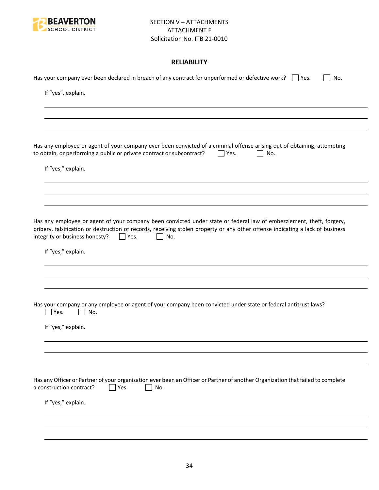

## **RELIABILITY**

| Has your company ever been declared in breach of any contract for unperformed or defective work? $\Box$ Yes.<br>No.                                                                                                                                                                                           |
|---------------------------------------------------------------------------------------------------------------------------------------------------------------------------------------------------------------------------------------------------------------------------------------------------------------|
| If "yes", explain.                                                                                                                                                                                                                                                                                            |
|                                                                                                                                                                                                                                                                                                               |
|                                                                                                                                                                                                                                                                                                               |
| Has any employee or agent of your company ever been convicted of a criminal offense arising out of obtaining, attempting<br>to obtain, or performing a public or private contract or subcontract?<br>Yes.<br>No.                                                                                              |
| If "yes," explain.                                                                                                                                                                                                                                                                                            |
|                                                                                                                                                                                                                                                                                                               |
|                                                                                                                                                                                                                                                                                                               |
| Has any employee or agent of your company been convicted under state or federal law of embezzlement, theft, forgery,<br>bribery, falsification or destruction of records, receiving stolen property or any other offense indicating a lack of business<br>integrity or business honesty?<br>$ $   Yes.<br>No. |
| If "yes," explain.                                                                                                                                                                                                                                                                                            |
|                                                                                                                                                                                                                                                                                                               |
|                                                                                                                                                                                                                                                                                                               |
| Has your company or any employee or agent of your company been convicted under state or federal antitrust laws?<br>Yes.<br>No.                                                                                                                                                                                |
| If "yes," explain.                                                                                                                                                                                                                                                                                            |
|                                                                                                                                                                                                                                                                                                               |
|                                                                                                                                                                                                                                                                                                               |
| Has any Officer or Partner of your organization ever been an Officer or Partner of another Organization that failed to complete<br>a construction contract?<br>Yes.<br>No.                                                                                                                                    |
| If "yes," explain.                                                                                                                                                                                                                                                                                            |
|                                                                                                                                                                                                                                                                                                               |
|                                                                                                                                                                                                                                                                                                               |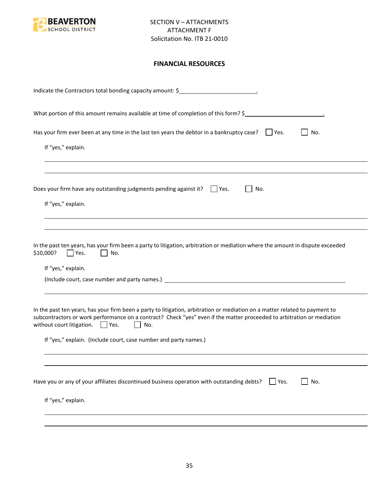

## **FINANCIAL RESOURCES**

| Indicate the Contractors total bonding capacity amount: \$                                                                                                                                                                                                                                                                                                                                |
|-------------------------------------------------------------------------------------------------------------------------------------------------------------------------------------------------------------------------------------------------------------------------------------------------------------------------------------------------------------------------------------------|
| What portion of this amount remains available at time of completion of this form? \$                                                                                                                                                                                                                                                                                                      |
| Has your firm ever been at any time in the last ten years the debtor in a bankruptcy case? $\Box$ Yes.<br>No.<br>If "yes," explain.                                                                                                                                                                                                                                                       |
| Does your firm have any outstanding judgments pending against it? $\Box$ Yes.<br>No.<br>If "yes," explain.                                                                                                                                                                                                                                                                                |
| In the past ten years, has your firm been a party to litigation, arbitration or mediation where the amount in dispute exceeded<br>\$10,000?<br>Yes.<br>No.<br>If "yes," explain.                                                                                                                                                                                                          |
| In the past ten years, has your firm been a party to litigation, arbitration or mediation on a matter related to payment to<br>subcontractors or work performance on a contract? Check "yes" even if the matter proceeded to arbitration or mediation<br>without court litigation. $\Box$ Yes.<br>$\mathbf{L}$<br>No.<br>If "yes," explain. (Include court, case number and party names.) |
| Have you or any of your affiliates discontinued business operation with outstanding debts?<br>No.<br>$ $ Yes.<br>If "yes," explain.                                                                                                                                                                                                                                                       |
|                                                                                                                                                                                                                                                                                                                                                                                           |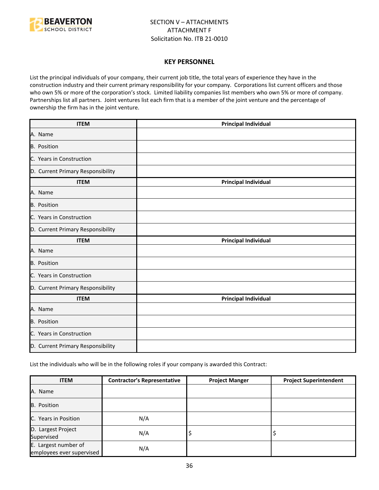

#### **KEY PERSONNEL**

List the principal individuals of your company, their current job title, the total years of experience they have in the construction industry and their current primary responsibility for your company. Corporations list current officers and those who own 5% or more of the corporation's stock. Limited liability companies list members who own 5% or more of company. Partnerships list all partners. Joint ventures list each firm that is a member of the joint venture and the percentage of ownership the firm has in the joint venture.

| <b>ITEM</b>                       | <b>Principal Individual</b> |
|-----------------------------------|-----------------------------|
| A. Name                           |                             |
| B. Position                       |                             |
| C. Years in Construction          |                             |
| D. Current Primary Responsibility |                             |
| <b>ITEM</b>                       | <b>Principal Individual</b> |
| A. Name                           |                             |
| B. Position                       |                             |
| C. Years in Construction          |                             |
| D. Current Primary Responsibility |                             |
| <b>ITEM</b>                       | <b>Principal Individual</b> |
| A. Name                           |                             |
| <b>B.</b> Position                |                             |
| C. Years in Construction          |                             |
| D. Current Primary Responsibility |                             |
| <b>ITEM</b>                       | <b>Principal Individual</b> |
| A. Name                           |                             |
| B. Position                       |                             |
| C. Years in Construction          |                             |
| D. Current Primary Responsibility |                             |

List the individuals who will be in the following roles if your company is awarded this Contract:

| <b>ITEM</b>                                       | <b>Contractor's Representative</b> | <b>Project Manger</b> | <b>Project Superintendent</b> |
|---------------------------------------------------|------------------------------------|-----------------------|-------------------------------|
| A. Name                                           |                                    |                       |                               |
| <b>B.</b> Position                                |                                    |                       |                               |
| C. Years in Position                              | N/A                                |                       |                               |
| D. Largest Project<br>Supervised                  | N/A                                | ÷,                    |                               |
| E. Largest number of<br>employees ever supervised | N/A                                |                       |                               |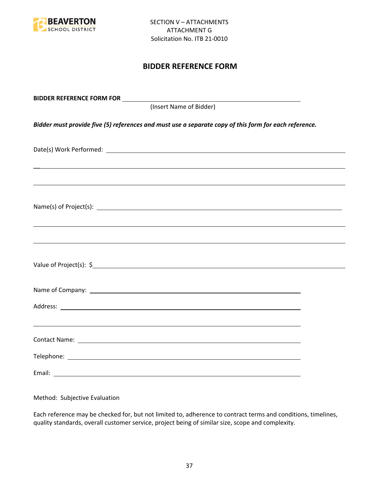

## **BIDDER REFERENCE FORM**

| (Insert Name of Bidder)                                                                                               |  |
|-----------------------------------------------------------------------------------------------------------------------|--|
| Bidder must provide five (5) references and must use a separate copy of this form for each reference.                 |  |
|                                                                                                                       |  |
| <u> 1989 - Jan Samuel Barbara, margaret amerikan basar dan berasal dalam berasal dalam berasal dalam berasal dala</u> |  |
|                                                                                                                       |  |
| ,我们也不能会有一个人的事情。""我们的人,我们也不能会有一个人的人,我们也不能会有一个人的人,我们也不能会有一个人的人,我们也不能会有一个人的人,我们也不能会                                      |  |
|                                                                                                                       |  |
|                                                                                                                       |  |
|                                                                                                                       |  |
|                                                                                                                       |  |
|                                                                                                                       |  |
|                                                                                                                       |  |

Method: Subjective Evaluation

Each reference may be checked for, but not limited to, adherence to contract terms and conditions, timelines, quality standards, overall customer service, project being of similar size, scope and complexity.